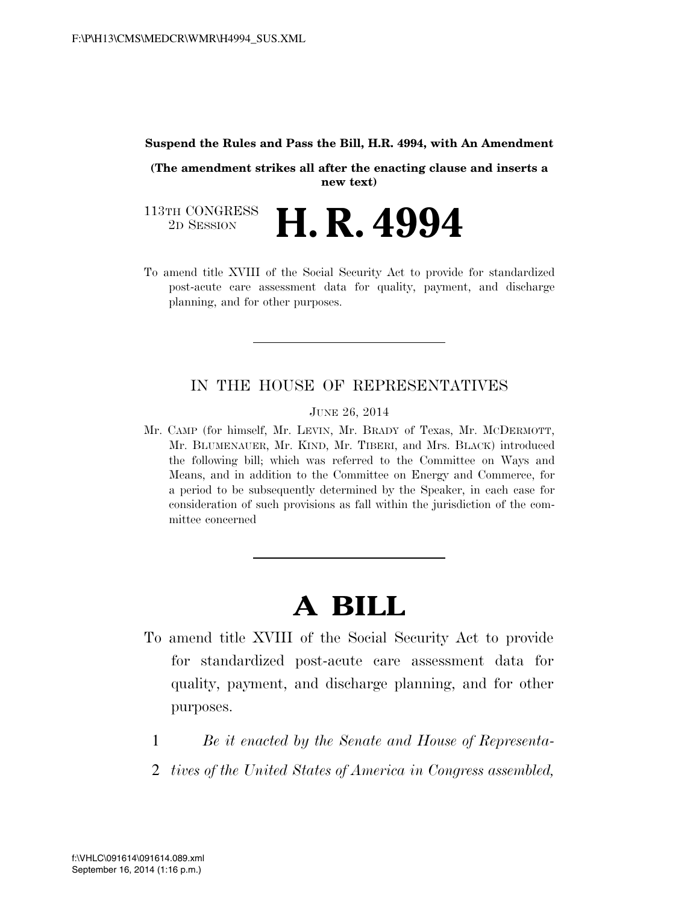#### **Suspend the Rules and Pass the Bill, H.R. 4994, with An Amendment**

**(The amendment strikes all after the enacting clause and inserts a new text)** 

113TH CONGRESS<br>2D SESSION 2D SESSION **H. R. 4994** 

To amend title XVIII of the Social Security Act to provide for standardized post-acute care assessment data for quality, payment, and discharge planning, and for other purposes.

### IN THE HOUSE OF REPRESENTATIVES

JUNE 26, 2014

Mr. CAMP (for himself, Mr. LEVIN, Mr. BRADY of Texas, Mr. MCDERMOTT, Mr. BLUMENAUER, Mr. KIND, Mr. TIBERI, and Mrs. BLACK) introduced the following bill; which was referred to the Committee on Ways and Means, and in addition to the Committee on Energy and Commerce, for a period to be subsequently determined by the Speaker, in each case for consideration of such provisions as fall within the jurisdiction of the committee concerned

# **A BILL**

- To amend title XVIII of the Social Security Act to provide for standardized post-acute care assessment data for quality, payment, and discharge planning, and for other purposes.
	- 1 *Be it enacted by the Senate and House of Representa-*
	- 2 *tives of the United States of America in Congress assembled,*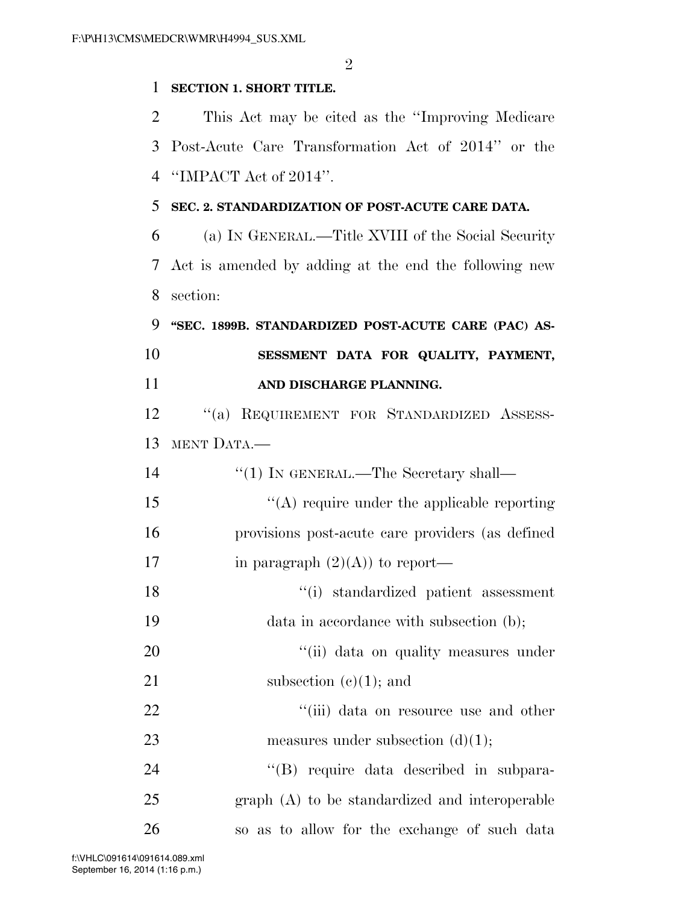$\mathfrak{D}$ 

### **SECTION 1. SHORT TITLE.**

 This Act may be cited as the ''Improving Medicare Post-Acute Care Transformation Act of 2014'' or the ''IMPACT Act of 2014''.

#### **SEC. 2. STANDARDIZATION OF POST-ACUTE CARE DATA.**

 (a) IN GENERAL.—Title XVIII of the Social Security Act is amended by adding at the end the following new section:

 **''SEC. 1899B. STANDARDIZED POST-ACUTE CARE (PAC) AS- SESSMENT DATA FOR QUALITY, PAYMENT, AND DISCHARGE PLANNING.** 

12 "(a) REQUIREMENT FOR STANDARDIZED ASSESS-MENT DATA.—

| 14 | $\lq(1)$ In GENERAL.—The Secretary shall—        |
|----|--------------------------------------------------|
| 15 | $\lq\lq$ require under the applicable reporting  |
| 16 | provisions post-acute care providers (as defined |
| 17 | in paragraph $(2)(A)$ to report—                 |
| 18 | "(i) standardized patient assessment             |
| 19 | data in accordance with subsection (b);          |
| 20 | "(ii) data on quality measures under             |
| 21 | subsection $(e)(1)$ ; and                        |
| 22 | "(iii) data on resource use and other            |
| 23 | measures under subsection $(d)(1)$ ;             |
| 24 | "(B) require data described in subpara-          |
| 25 | graph (A) to be standardized and interoperable   |
| 26 | so as to allow for the exchange of such data     |

September 16, 2014 (1:16 p.m.) f:\VHLC\091614\091614.089.xml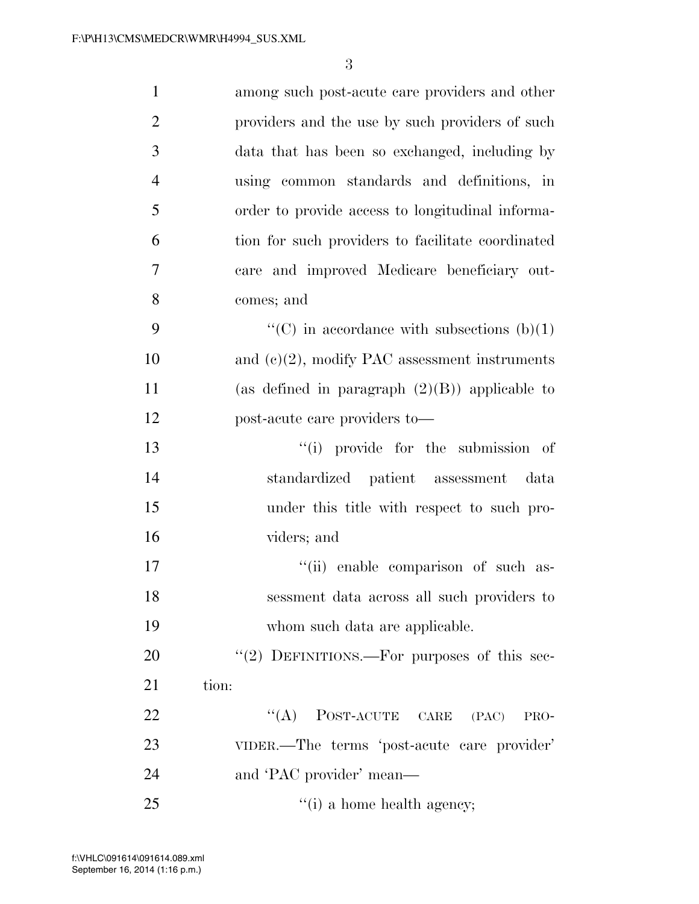| $\mathbf{1}$   | among such post-acute care providers and other    |
|----------------|---------------------------------------------------|
| $\overline{2}$ | providers and the use by such providers of such   |
| 3              | data that has been so exchanged, including by     |
| $\overline{4}$ | using common standards and definitions, in        |
| 5              | order to provide access to longitudinal informa-  |
| 6              | tion for such providers to facilitate coordinated |
| 7              | care and improved Medicare beneficiary out-       |
| 8              | comes; and                                        |
| 9              | "(C) in accordance with subsections $(b)(1)$      |
| 10             | and $(e)(2)$ , modify PAC assessment instruments  |
| 11             | (as defined in paragraph $(2)(B)$ ) applicable to |
| 12             | post-acute care providers to—                     |
| 13             | "(i) provide for the submission of                |
| 14             | standardized patient assessment data              |
| 15             | under this title with respect to such pro-        |
| 16             | viders; and                                       |
| 17             | "(ii) enable comparison of such as-               |
| 18             | sessment data across all such providers to        |
| 19             | whom such data are applicable.                    |
| 20             | "(2) DEFINITIONS.—For purposes of this sec-       |
| 21             | tion:                                             |
| 22             | $\lq\lq$ POST-ACUTE CARE<br>(PAC)<br>PRO-         |
| 23             | VIDER.—The terms 'post-acute care provider'       |
| 24             | and 'PAC provider' mean—                          |
| 25             | $f'(i)$ a home health agency;                     |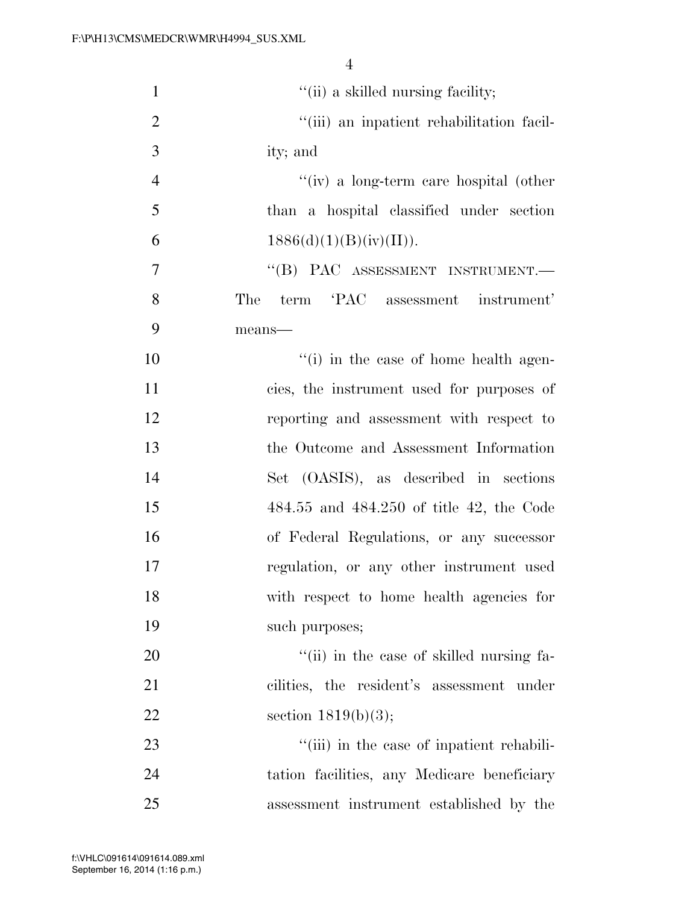| $\mathbf{1}$   | "(ii) a skilled nursing facility;            |
|----------------|----------------------------------------------|
| $\overline{2}$ | "(iii) an inpatient rehabilitation facil-    |
| 3              | ity; and                                     |
| $\overline{4}$ | "(iv) a long-term care hospital (other       |
| 5              | than a hospital classified under section     |
| 6              | 1886(d)(1)(B)(iv)(II)).                      |
| 7              | "(B) PAC ASSESSMENT INSTRUMENT.-             |
| 8              | The<br>term 'PAC assessment instrument'      |
| 9              | means-                                       |
| 10             | "(i) in the case of home health agen-        |
| 11             | cies, the instrument used for purposes of    |
| 12             | reporting and assessment with respect to     |
| 13             | the Outcome and Assessment Information       |
| 14             | Set (OASIS), as described in sections        |
| 15             | $484.55$ and $484.250$ of title 42, the Code |
| 16             | of Federal Regulations, or any successor     |
| 17             | regulation, or any other instrument used     |
| 18             | with respect to home health agencies for     |
| 19             | such purposes;                               |
| 20             | "(ii) in the case of skilled nursing fa-     |
| 21             | cilities, the resident's assessment under    |
| 22             | section $1819(b)(3);$                        |
| 23             | "(iii) in the case of inpatient rehabili-    |
| 24             | tation facilities, any Medicare beneficiary  |
| 25             | assessment instrument established by the     |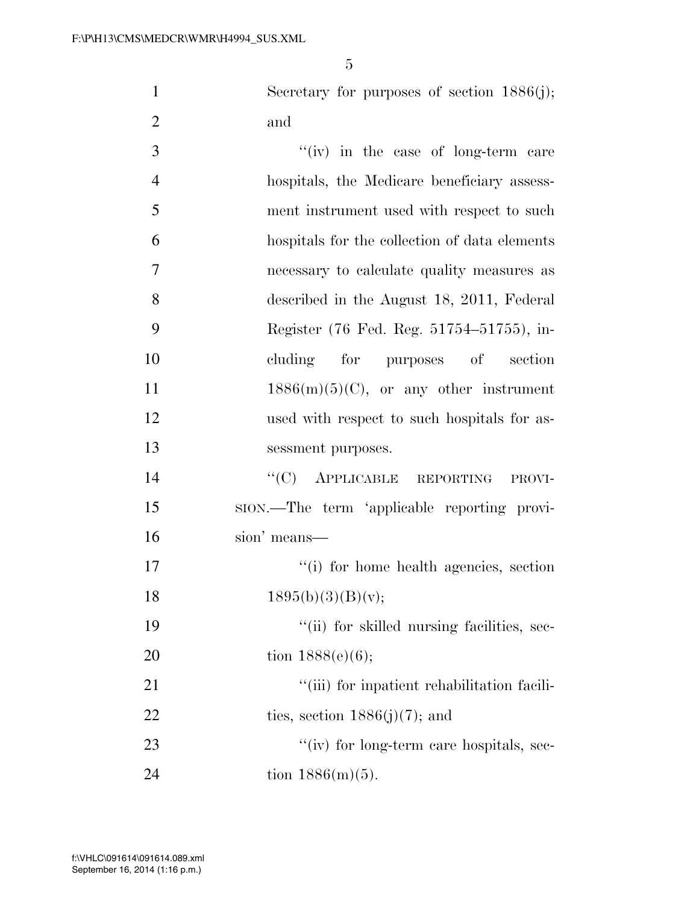1 Secretary for purposes of section 1886(j); 2 and

3 ''(iv) in the case of long-term care hospitals, the Medicare beneficiary assess- ment instrument used with respect to such hospitals for the collection of data elements necessary to calculate quality measures as described in the August 18, 2011, Federal Register (76 Fed. Reg. 51754–51755), in- cluding for purposes of section  $1886(m)(5)(C)$ , or any other instrument used with respect to such hospitals for as- sessment purposes. 14 "(C) APPLICABLE REPORTING PROVI- SION.—The term 'applicable reporting provi- sion' means—  $\frac{1}{10}$  for home health agencies, section  $1895(b)(3)(B)(v);$  $"$ (ii) for skilled nursing facilities, sec-20 tion  $1888(e)(6)$ ;  $\frac{1}{1}$  (iii) for inpatient rehabilitation facili-22 ties, section  $1886(j)(7)$ ; and 23 ''(iv) for long-term care hospitals, sec-24 tion  $1886(m)(5)$ .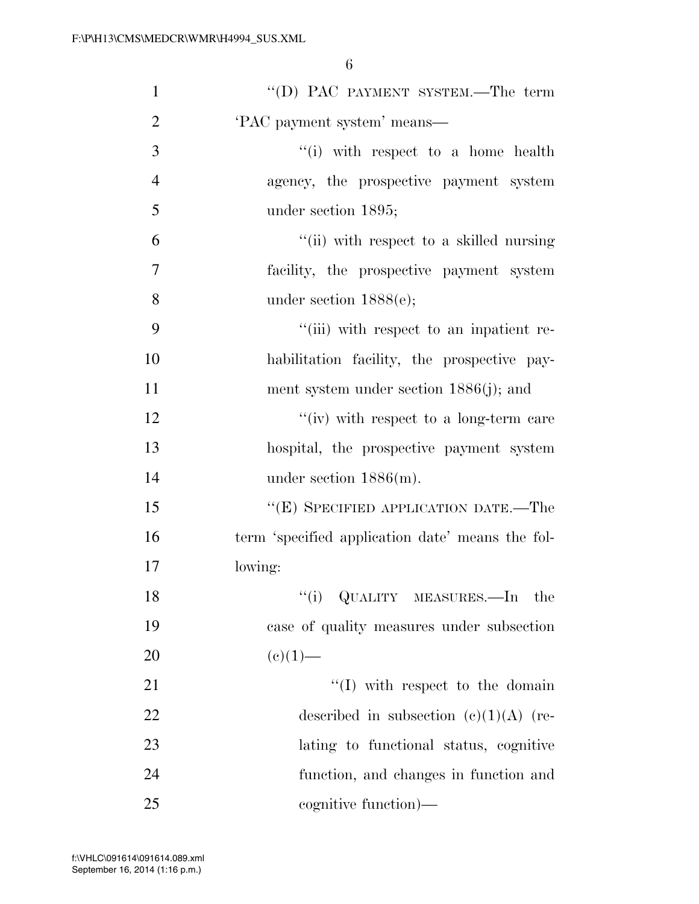| $\mathbf{1}$   | "(D) PAC PAYMENT SYSTEM.—The term                |
|----------------|--------------------------------------------------|
| $\overline{2}$ | 'PAC payment system' means—                      |
| 3              | "(i) with respect to a home health               |
| $\overline{4}$ | agency, the prospective payment system           |
| 5              | under section 1895;                              |
| 6              | "(ii) with respect to a skilled nursing          |
| $\tau$         | facility, the prospective payment system         |
| 8              | under section $1888(e)$ ;                        |
| 9              | "(iii) with respect to an inpatient re-          |
| 10             | habilitation facility, the prospective pay-      |
| 11             | ment system under section $1886(j)$ ; and        |
| 12             | "(iv) with respect to a long-term care           |
| 13             | hospital, the prospective payment system         |
| 14             | under section $1886(m)$ .                        |
| 15             | "(E) SPECIFIED APPLICATION DATE.—The             |
| 16             | term 'specified application date' means the fol- |
| 17             | lowing:                                          |
| 18             | "(i) QUALITY MEASURES.—In the                    |
| 19             | case of quality measures under subsection        |
| 20             | $(e)(1)$ —                                       |
| 21             | $\lq\lq$ (I) with respect to the domain          |
| 22             | described in subsection $(c)(1)(A)$ (re-         |
| 23             | lating to functional status, cognitive           |
| 24             | function, and changes in function and            |
| 25             | cognitive function)—                             |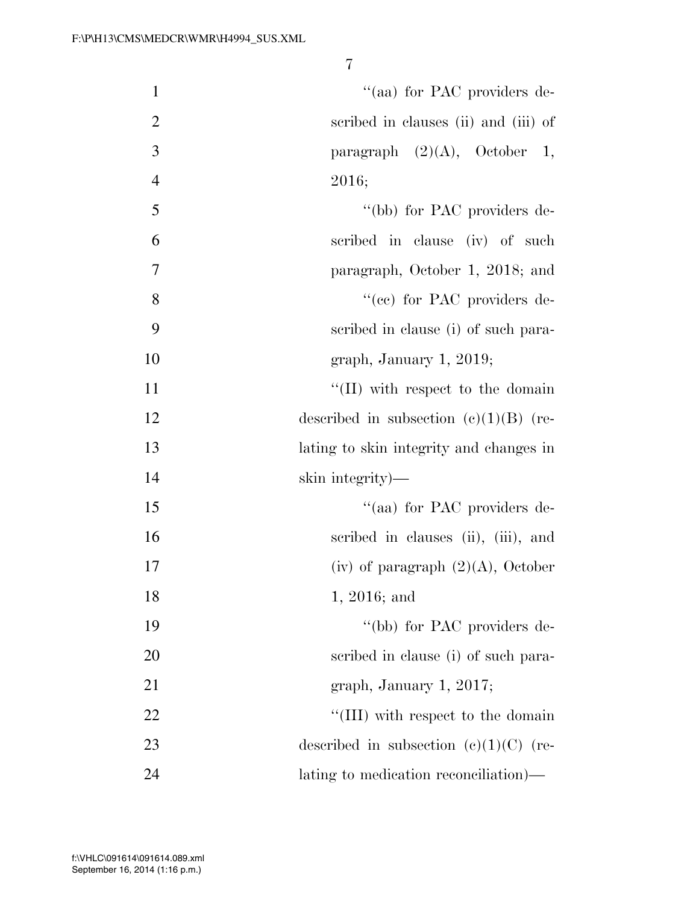| $\mathbf{1}$   | "(aa) for PAC providers de-              |
|----------------|------------------------------------------|
| $\overline{2}$ | scribed in clauses (ii) and (iii) of     |
| 3              | paragraph $(2)(A)$ , October 1,          |
| $\overline{4}$ | 2016;                                    |
| 5              | "(bb) for PAC providers de-              |
| 6              | scribed in clause (iv) of such           |
| $\tau$         | paragraph, October 1, 2018; and          |
| 8              | "(cc) for PAC providers de-              |
| 9              | scribed in clause (i) of such para-      |
| 10             | graph, January 1, 2019;                  |
| 11             | $\lq\lq$ (II) with respect to the domain |
| 12             | described in subsection $(c)(1)(B)$ (re- |
| 13             | lating to skin integrity and changes in  |
| 14             | skin integrity)—                         |
| 15             | "(aa) for PAC providers de-              |
| 16             | scribed in clauses (ii), (iii), and      |
| 17             | (iv) of paragraph $(2)(A)$ , October     |
| 18             | 1, 2016; and                             |
| 19             | "(bb) for PAC providers de-              |
| 20             | scribed in clause (i) of such para-      |
| 21             | graph, January 1, 2017;                  |
| 22             | "(III) with respect to the domain        |
| 23             | described in subsection $(c)(1)(C)$ (re- |
| 24             | lating to medication reconciliation)—    |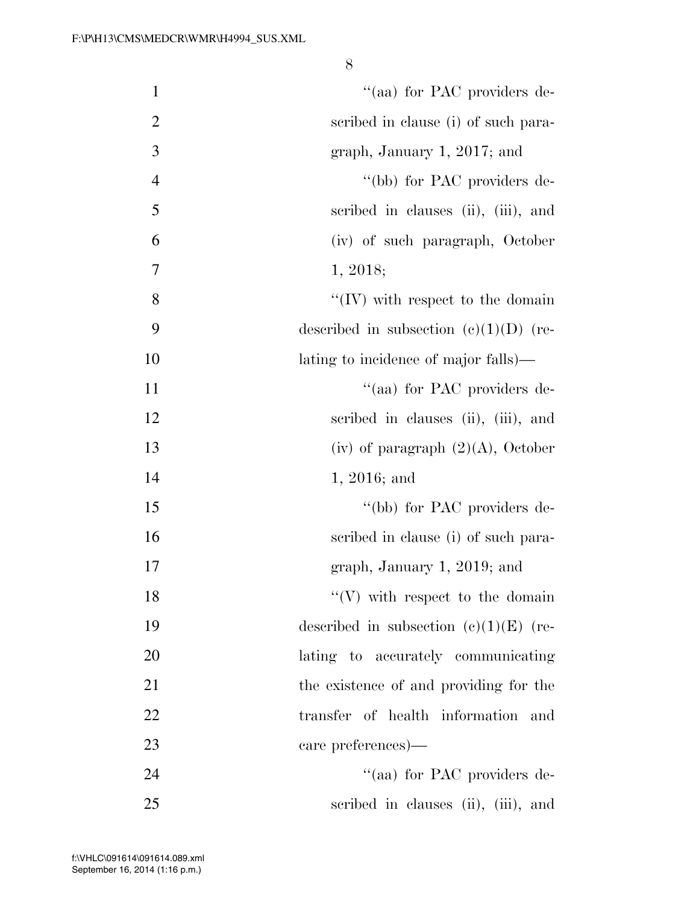| $\mathbf{1}$   | "(aa) for PAC providers de-              |
|----------------|------------------------------------------|
| $\overline{2}$ | scribed in clause (i) of such para-      |
| 3              | graph, January 1, 2017; and              |
| $\overline{4}$ | "(bb) for PAC providers de-              |
| 5              | scribed in clauses (ii), (iii), and      |
| 6              | (iv) of such paragraph, October          |
| 7              | 1, 2018;                                 |
| 8              | $\lq\lq$ (IV) with respect to the domain |
| 9              | described in subsection $(c)(1)(D)$ (re- |
| 10             | lating to incidence of major falls)—     |
| 11             | "(aa) for PAC providers de-              |
| 12             | scribed in clauses (ii), (iii), and      |
| 13             | (iv) of paragraph $(2)(A)$ , October     |
| 14             | $1, 2016;$ and                           |
| 15             | "(bb) for PAC providers de-              |
| 16             | scribed in clause (i) of such para-      |
| 17             | graph, January 1, 2019; and              |
| 18             | $\lq\lq(V)$ with respect to the domain   |
| 19             | described in subsection $(c)(1)(E)$ (re- |
| 20             | lating to accurately communicating       |
| 21             | the existence of and providing for the   |
| 22             | transfer of health information<br>and    |
| 23             | care preferences)—                       |
| 24             | "(aa) for PAC providers de-              |
| 25             | scribed in clauses (ii), (iii), and      |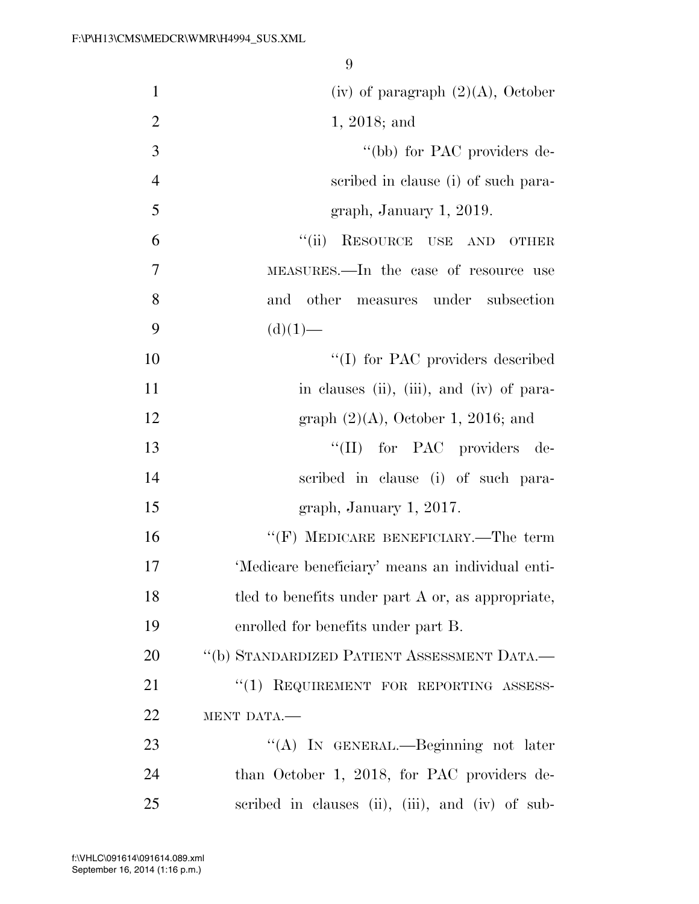| $\mathbf{1}$   | (iv) of paragraph $(2)(A)$ , October              |
|----------------|---------------------------------------------------|
| $\overline{2}$ | $1, 2018$ ; and                                   |
| 3              | "(bb) for PAC providers de-                       |
| $\overline{4}$ | scribed in clause (i) of such para-               |
| 5              | graph, January 1, 2019.                           |
| 6              | RESOURCE USE AND OTHER<br>``(ii)                  |
| 7              | MEASURES.—In the case of resource use             |
| 8              | other measures under subsection<br>and            |
| 9              | $(d)(1)$ —                                        |
| 10             | "(I) for PAC providers described                  |
| 11             | in clauses (ii), (iii), and (iv) of para-         |
| 12             | graph $(2)(A)$ , October 1, 2016; and             |
| 13             | "(II) for PAC providers de-                       |
| 14             | scribed in clause (i) of such para-               |
| 15             | graph, January 1, 2017.                           |
| 16             | "(F) MEDICARE BENEFICIARY.—The term               |
| 17             | 'Medicare beneficiary' means an individual enti-  |
| 18             | tled to benefits under part A or, as appropriate, |
| 19             | enrolled for benefits under part B.               |
| 20             | "(b) STANDARDIZED PATIENT ASSESSMENT DATA.-       |
| 21             | $\cdot$ (1) REQUIREMENT FOR REPORTING ASSESS-     |
| 22             | MENT DATA.-                                       |
| 23             | "(A) IN GENERAL.—Beginning not later              |
| 24             | than October 1, 2018, for PAC providers de-       |
| 25             | scribed in clauses (ii), (iii), and (iv) of sub-  |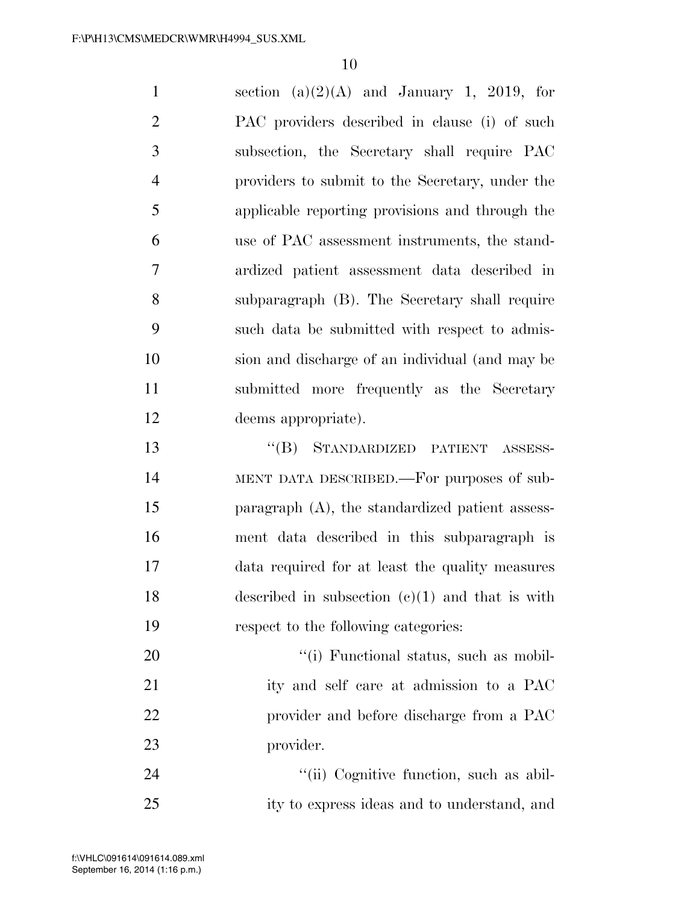| $\mathbf{1}$   | section (a) $(2)(A)$ and January 1, 2019, for      |
|----------------|----------------------------------------------------|
| $\overline{2}$ | PAC providers described in clause (i) of such      |
| 3              | subsection, the Secretary shall require PAC        |
| $\overline{4}$ | providers to submit to the Secretary, under the    |
| 5              | applicable reporting provisions and through the    |
| 6              | use of PAC assessment instruments, the stand-      |
| 7              | ardized patient assessment data described in       |
| 8              | subparagraph (B). The Secretary shall require      |
| 9              | such data be submitted with respect to admis-      |
| 10             | sion and discharge of an individual (and may be    |
| 11             | submitted more frequently as the Secretary         |
| 12             | deems appropriate).                                |
| 13             | STANDARDIZED PATIENT ASSESS-<br>$\lq\lq (B)$       |
| 14             | MENT DATA DESCRIBED.—For purposes of sub-          |
| 15             | paragraph $(A)$ , the standardized patient assess- |
| 16             | ment data described in this subparagraph is        |
| 17             | data required for at least the quality measures    |
| 18             | described in subsection $(c)(1)$ and that is with  |
| 19             | respect to the following categories:               |
| 20             | "(i) Functional status, such as mobil-             |
| 21             | ity and self care at admission to a PAC            |
| 22             | provider and before discharge from a PAC           |
| 23             | provider.                                          |

24 ''(ii) Cognitive function, such as abil-ity to express ideas and to understand, and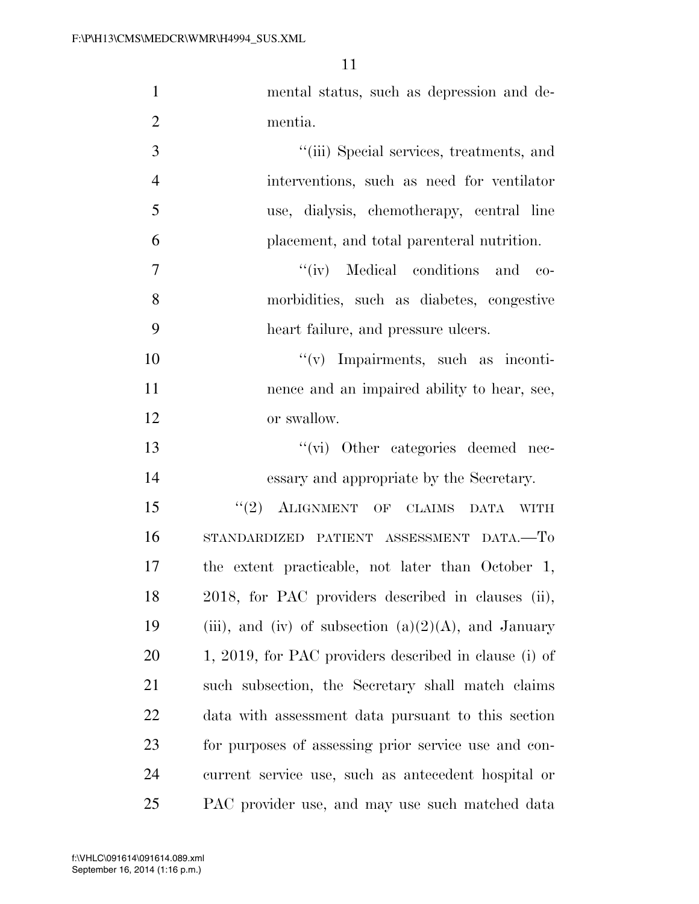| $\mathbf{1}$   | mental status, such as depression and de-               |
|----------------|---------------------------------------------------------|
| $\overline{2}$ | mentia.                                                 |
| 3              | "(iii) Special services, treatments, and                |
| $\overline{4}$ | interventions, such as need for ventilator              |
| 5              | use, dialysis, chemotherapy, central line               |
| 6              | placement, and total parenteral nutrition.              |
| $\overline{7}$ | "(iv) Medical conditions and co-                        |
| 8              | morbidities, such as diabetes, congestive               |
| 9              | heart failure, and pressure ulcers.                     |
| 10             | "(v) Impairments, such as inconti-                      |
| 11             | nence and an impaired ability to hear, see,             |
| 12             | or swallow.                                             |
| 13             | "(vi) Other categories deemed nec-                      |
| 14             | essary and appropriate by the Secretary.                |
| 15             | "(2) ALIGNMENT OF CLAIMS DATA WITH                      |
| 16             | STANDARDIZED PATIENT ASSESSMENT DATA.-To                |
| 17             | the extent practicable, not later than October 1,       |
| 18             | 2018, for PAC providers described in clauses (ii),      |
| 19             | (iii), and (iv) of subsection $(a)(2)(A)$ , and January |
| 20             | 1, 2019, for PAC providers described in clause (i) of   |
| 21             | such subsection, the Secretary shall match claims       |
| 22             | data with assessment data pursuant to this section      |
| 23             | for purposes of assessing prior service use and con-    |
| 24             | current service use, such as antecedent hospital or     |
| 25             | PAC provider use, and may use such matched data         |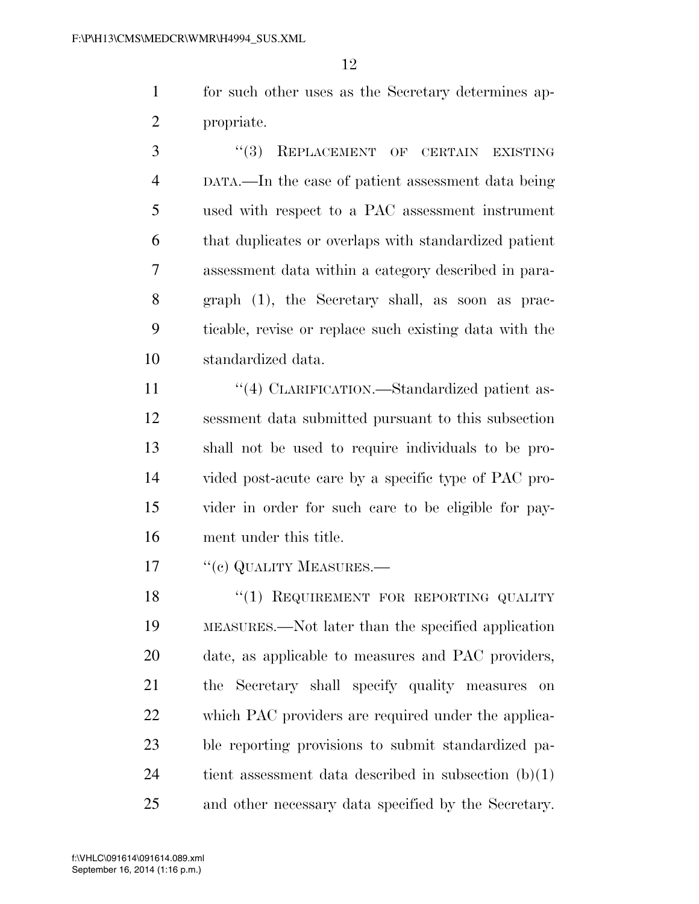for such other uses as the Secretary determines ap-propriate.

3 "(3) REPLACEMENT OF CERTAIN EXISTING DATA.—In the case of patient assessment data being used with respect to a PAC assessment instrument that duplicates or overlaps with standardized patient assessment data within a category described in para- graph (1), the Secretary shall, as soon as prac- ticable, revise or replace such existing data with the standardized data.

 $\frac{4}{4}$  CLARIFICATION.—Standardized patient as- sessment data submitted pursuant to this subsection shall not be used to require individuals to be pro- vided post-acute care by a specific type of PAC pro- vider in order for such care to be eligible for pay-ment under this title.

17 <sup>"</sup>(c) QUALITY MEASURES.—

18 "(1) REQUIREMENT FOR REPORTING QUALITY MEASURES.—Not later than the specified application date, as applicable to measures and PAC providers, the Secretary shall specify quality measures on which PAC providers are required under the applica- ble reporting provisions to submit standardized pa-24 tient assessment data described in subsection  $(b)(1)$ and other necessary data specified by the Secretary.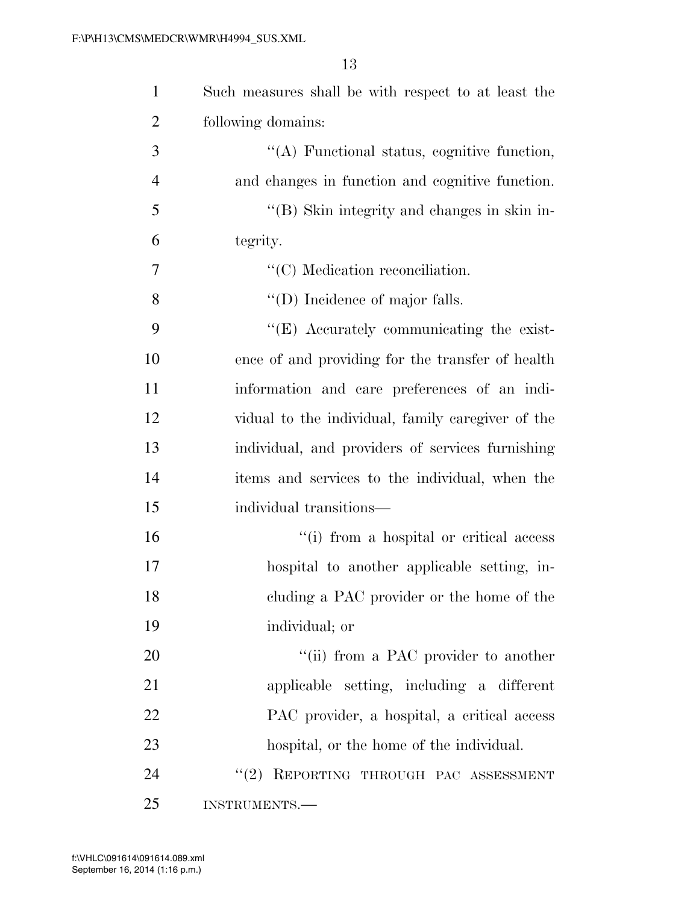| $\mathbf{1}$   | Such measures shall be with respect to at least the |
|----------------|-----------------------------------------------------|
| $\overline{2}$ | following domains:                                  |
| 3              | $\lq\lq$ . Functional status, cognitive function,   |
| $\overline{4}$ | and changes in function and cognitive function.     |
| 5              | "(B) Skin integrity and changes in skin in-         |
| 6              | tegrity.                                            |
| 7              | $\lq\lq$ (C) Medication reconciliation.             |
| 8              | $\lq\lq$ (D) Incidence of major falls.              |
| 9              | $\lq\lq$ (E) Accurately communicating the exist-    |
| 10             | ence of and providing for the transfer of health    |
| 11             | information and care preferences of an indi-        |
| 12             | vidual to the individual, family caregiver of the   |
| 13             | individual, and providers of services furnishing    |
| 14             | items and services to the individual, when the      |
| 15             | individual transitions—                             |
| 16             | "(i) from a hospital or critical access             |
| 17             | hospital to another applicable setting, in-         |
| 18             | cluding a PAC provider or the home of the           |
| 19             | individual; or                                      |
| 20             | "(ii) from a PAC provider to another                |
| 21             | applicable setting, including a different           |
| 22             | PAC provider, a hospital, a critical access         |
| 23             | hospital, or the home of the individual.            |
| 24             | REPORTING THROUGH PAC ASSESSMENT<br>(2)             |
| 25             | INSTRUMENTS.                                        |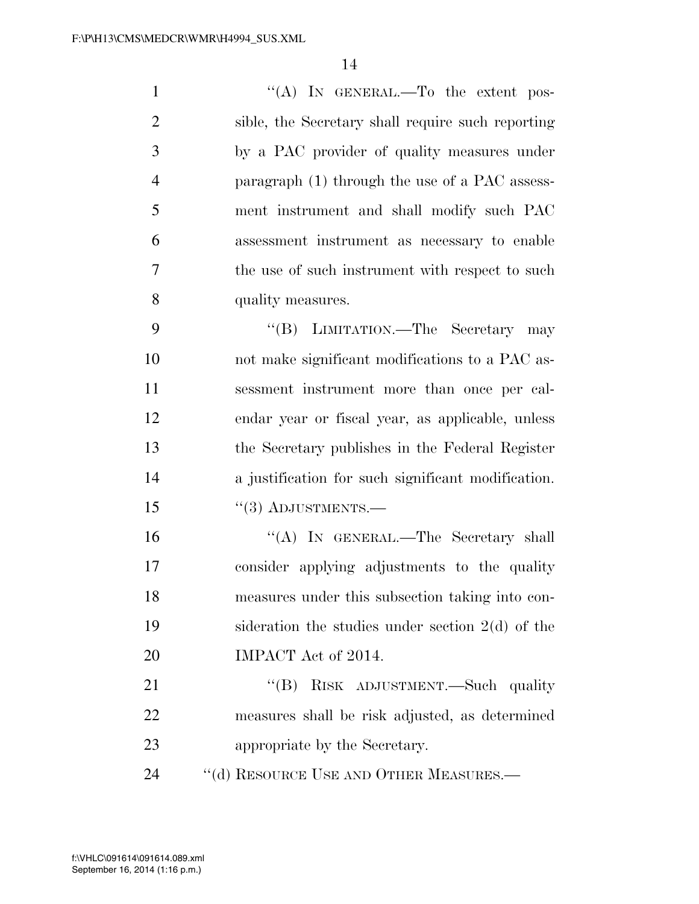| $\mathbf{1}$   | "(A) IN GENERAL.—To the extent pos-                |
|----------------|----------------------------------------------------|
| $\overline{2}$ | sible, the Secretary shall require such reporting  |
| 3              | by a PAC provider of quality measures under        |
| $\overline{4}$ | paragraph (1) through the use of a PAC assess-     |
| 5              | ment instrument and shall modify such PAC          |
| 6              | assessment instrument as necessary to enable       |
| 7              | the use of such instrument with respect to such    |
| 8              | quality measures.                                  |
| 9              | "(B) LIMITATION.—The Secretary may                 |
| 10             | not make significant modifications to a PAC as-    |
| 11             | sessment instrument more than once per cal-        |
| 12             | endar year or fiscal year, as applicable, unless   |
| 13             | the Secretary publishes in the Federal Register    |
| 14             | a justification for such significant modification. |
| 15             | $``(3)$ ADJUSTMENTS.—                              |
| 16             | "(A) IN GENERAL.—The Secretary shall               |
| 17             | consider applying adjustments to the quality       |
| 18             | measures under this subsection taking into con-    |
| 19             | sideration the studies under section $2(d)$ of the |
| 20             | IMPACT Act of 2014.                                |
| 21             | "(B) RISK ADJUSTMENT.—Such quality                 |
| 22             | measures shall be risk adjusted, as determined     |
| 23             | appropriate by the Secretary.                      |
| 24             | "(d) RESOURCE USE AND OTHER MEASURES.—             |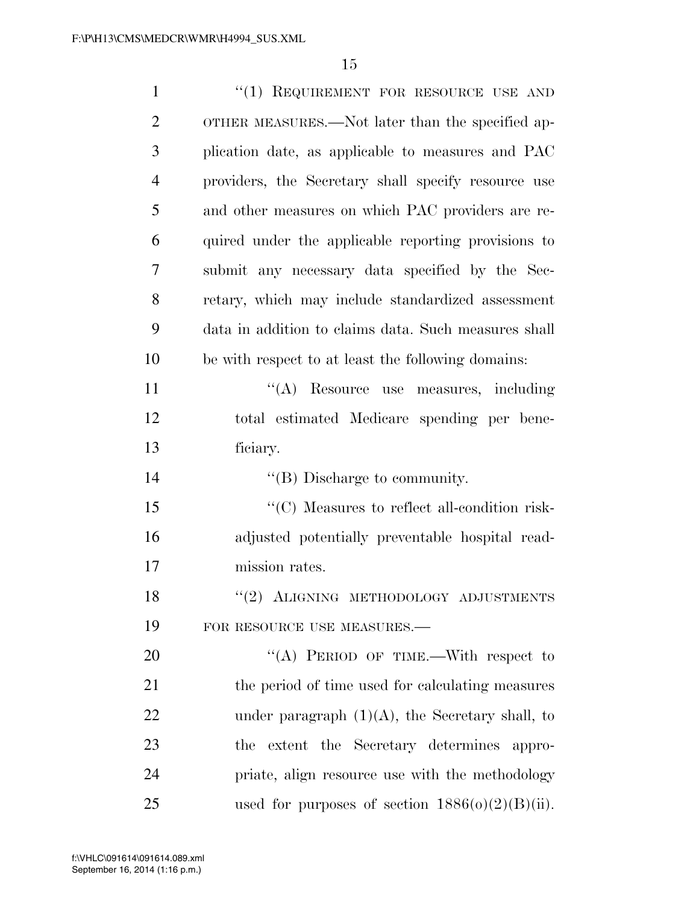| $\mathbf{1}$   | "(1) REQUIREMENT FOR RESOURCE USE AND                             |
|----------------|-------------------------------------------------------------------|
| $\overline{2}$ | OTHER MEASURES.—Not later than the specified ap-                  |
| 3              | plication date, as applicable to measures and PAC                 |
| 4              | providers, the Secretary shall specify resource use               |
| 5              | and other measures on which PAC providers are re-                 |
| 6              | quired under the applicable reporting provisions to               |
| 7              | submit any necessary data specified by the Sec-                   |
| 8              | retary, which may include standardized assessment                 |
| 9              | data in addition to claims data. Such measures shall              |
| 10             | be with respect to at least the following domains:                |
| 11             | "(A) Resource use measures, including                             |
| 12             | total estimated Medicare spending per bene-                       |
| 13             | ficiary.                                                          |
|                |                                                                   |
| 14             | $\lq\lq$ (B) Discharge to community.                              |
| 15             | $\lq\lq$ <sup>"</sup> (C) Measures to reflect all-condition risk- |
| 16             | adjusted potentially preventable hospital read-                   |
| 17             | mission rates.                                                    |
| 18             | "(2) ALIGNING METHODOLOGY ADJUSTMENTS                             |
| 19             | FOR RESOURCE USE MEASURES.-                                       |
| 20             | "(A) PERIOD OF TIME.—With respect to                              |
| 21             | the period of time used for calculating measures                  |
| 22             | under paragraph $(1)(A)$ , the Secretary shall, to                |
| 23             | the extent the Secretary determines appro-                        |
| 24             | priate, align resource use with the methodology                   |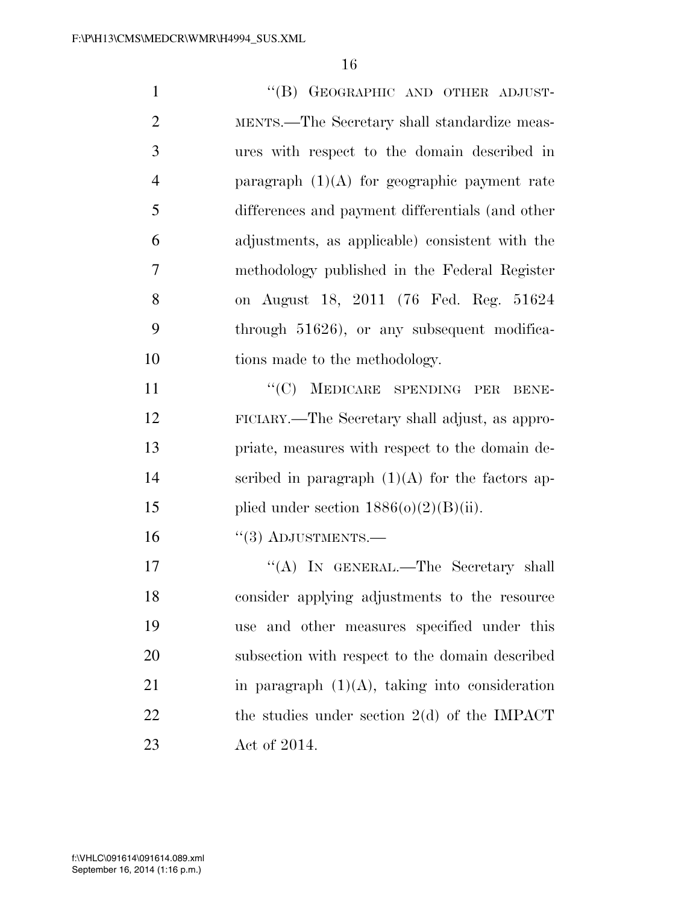1 "(B) GEOGRAPHIC AND OTHER ADJUST- MENTS.—The Secretary shall standardize meas- ures with respect to the domain described in 4 paragraph  $(1)(A)$  for geographic payment rate differences and payment differentials (and other adjustments, as applicable) consistent with the methodology published in the Federal Register on August 18, 2011 (76 Fed. Reg. 51624 through 51626), or any subsequent modifica-10 tions made to the methodology. 11 ""(C) MEDICARE SPENDING PER BENE- FICIARY.—The Secretary shall adjust, as appro- priate, measures with respect to the domain de-14 scribed in paragraph  $(1)(A)$  for the factors ap-15 plied under section  $1886(0)(2)(B)(ii)$ . "(3) ADJUSTMENTS.— 17 "'(A) In GENERAL.—The Secretary shall consider applying adjustments to the resource use and other measures specified under this

20 subsection with respect to the domain described 21 in paragraph  $(1)(A)$ , taking into consideration 22 the studies under section 2(d) of the IMPACT 23 Act of 2014.

September 16, 2014 (1:16 p.m.) f:\VHLC\091614\091614.089.xml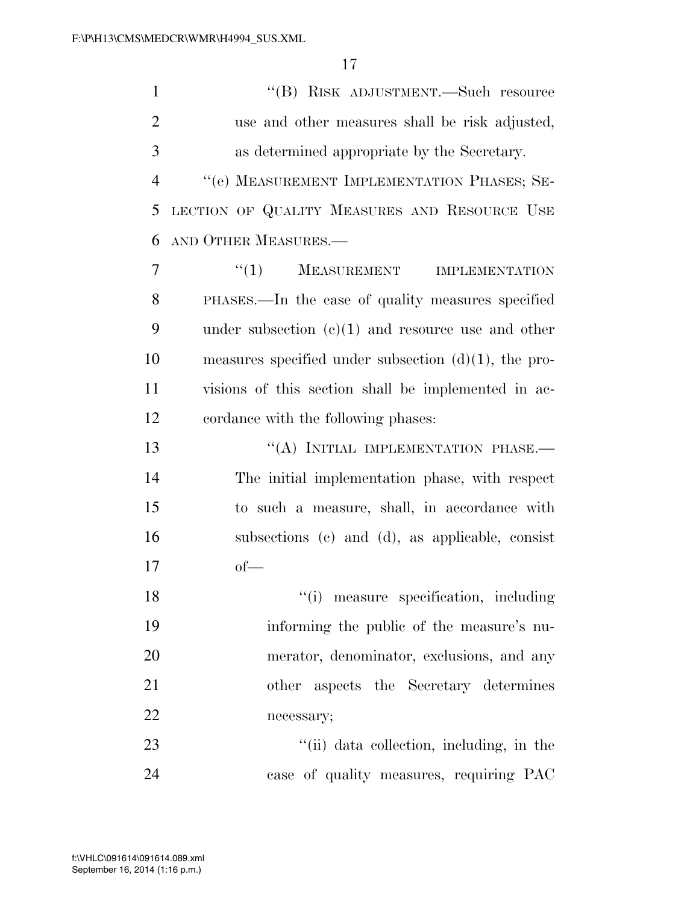''(B) RISK ADJUSTMENT.—Such resource use and other measures shall be risk adjusted, as determined appropriate by the Secretary. ''(e) MEASUREMENT IMPLEMENTATION PHASES; SE- LECTION OF QUALITY MEASURES AND RESOURCE USE AND OTHER MEASURES.— ''(1) MEASUREMENT IMPLEMENTATION PHASES.—In the case of quality measures specified under subsection (c)(1) and resource use and other measures specified under subsection (d)(1), the pro- visions of this section shall be implemented in ac- cordance with the following phases: 13 "(A) INITIAL IMPLEMENTATION PHASE. The initial implementation phase, with respect to such a measure, shall, in accordance with subsections (c) and (d), as applicable, consist of—  $\frac{1}{2}$  measure specification, including informing the public of the measure's nu- merator, denominator, exclusions, and any other aspects the Secretary determines necessary; 23 ''(ii) data collection, including, in the case of quality measures, requiring PAC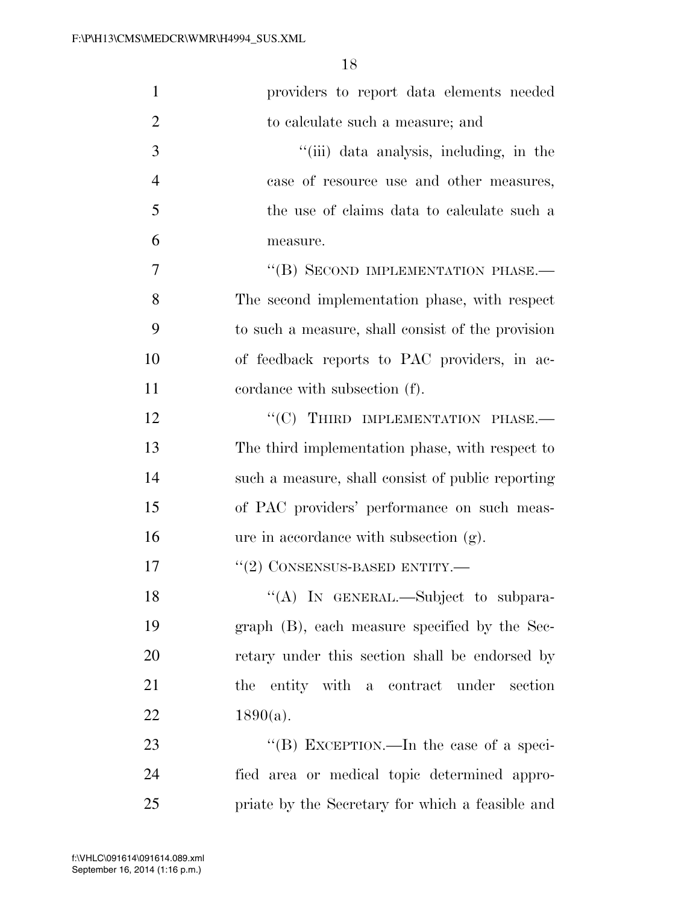| 1              | providers to report data elements needed          |
|----------------|---------------------------------------------------|
| $\overline{2}$ | to calculate such a measure; and                  |
| 3              | "(iii) data analysis, including, in the           |
| $\overline{4}$ | case of resource use and other measures,          |
| 5              | the use of claims data to calculate such a        |
| 6              | measure.                                          |
| 7              | "(B) SECOND IMPLEMENTATION PHASE.-                |
| 8              | The second implementation phase, with respect     |
| 9              | to such a measure, shall consist of the provision |
| 10             | of feedback reports to PAC providers, in ac-      |
| 11             | cordance with subsection (f).                     |
| 12             | "(C) THIRD IMPLEMENTATION PHASE.-                 |
| 13             | The third implementation phase, with respect to   |
| 14             | such a measure, shall consist of public reporting |
| 15             | of PAC providers' performance on such meas-       |
| 16             | ure in accordance with subsection (g).            |
| 17             | $``(2)$ CONSENSUS-BASED ENTITY.—                  |
| 18             | "(A) IN GENERAL.—Subject to subpara-              |
| 19             | graph (B), each measure specified by the Sec-     |
| 20             | retary under this section shall be endorsed by    |
| 21             | the entity with a contract under section          |
| 22             | $1890(a)$ .                                       |
| 23             | "(B) EXCEPTION.—In the case of a speci-           |
| 24             | fied area or medical topic determined appro-      |
| 25             | priate by the Secretary for which a feasible and  |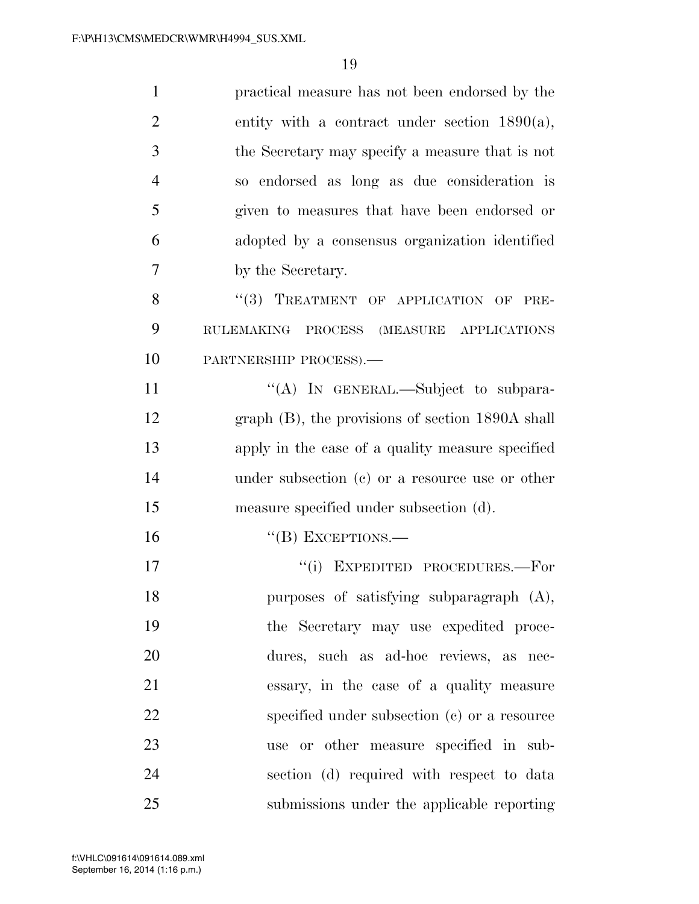| $\mathbf{1}$   | practical measure has not been endorsed by the        |
|----------------|-------------------------------------------------------|
| $\overline{2}$ | entity with a contract under section $1890(a)$ ,      |
| 3              | the Secretary may specify a measure that is not       |
| $\overline{4}$ | so endorsed as long as due consideration is           |
| 5              | given to measures that have been endorsed or          |
| 6              | adopted by a consensus organization identified        |
| 7              | by the Secretary.                                     |
| 8              | "(3) TREATMENT OF APPLICATION OF PRE-                 |
| 9              | <b>RULEMAKING</b><br>PROCESS<br>(MEASURE APPLICATIONS |
| 10             | PARTNERSHIP PROCESS).-                                |
| 11             | "(A) IN GENERAL.—Subject to subpara-                  |
| 12             | graph $(B)$ , the provisions of section 1890A shall   |
| 13             | apply in the case of a quality measure specified      |
| 14             | under subsection $(e)$ or a resource use or other     |
| 15             | measure specified under subsection (d).               |
| 16             | $``$ (B) EXCEPTIONS.—                                 |
| 17             | "(i) EXPEDITED PROCEDURES.-For                        |
| 18             | purposes of satisfying subparagraph (A),              |
| 19             | the Secretary may use expedited proce-                |
| 20             | dures, such as ad-hoc reviews, as nec-                |
| 21             | essary, in the case of a quality measure              |
| 22             | specified under subsection (c) or a resource          |
| 23             | use or other measure specified in sub-                |
| 24             | section (d) required with respect to data             |
| 25             | submissions under the applicable reporting            |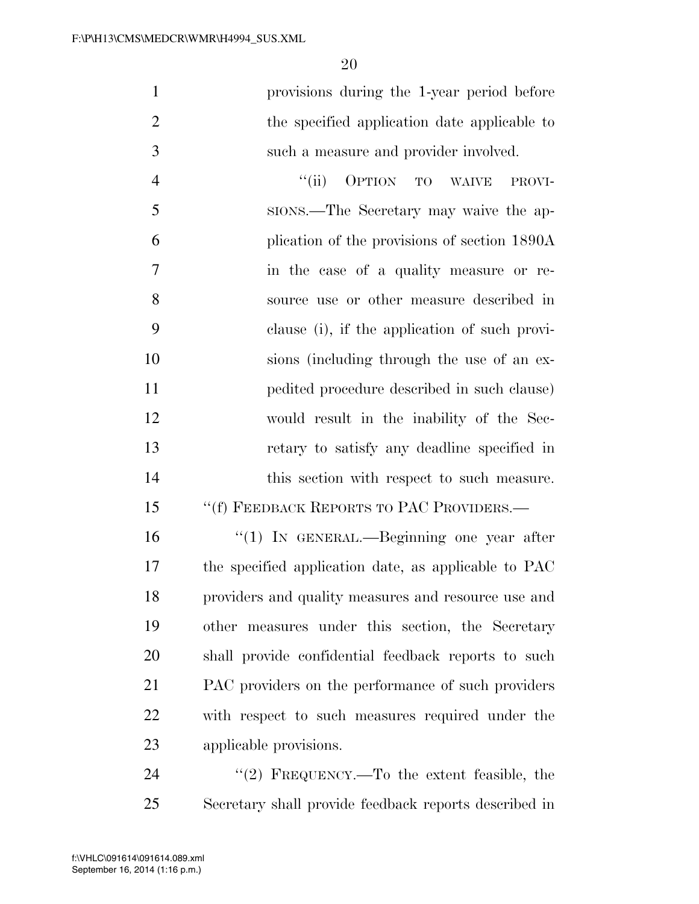provisions during the 1-year period before the specified application date applicable to such a measure and provider involved.

4 "(ii) OPTION TO WAIVE PROVI- SIONS.—The Secretary may waive the ap- plication of the provisions of section 1890A in the case of a quality measure or re- source use or other measure described in clause (i), if the application of such provi- sions (including through the use of an ex- pedited procedure described in such clause) would result in the inability of the Sec- retary to satisfy any deadline specified in 14 this section with respect to such measure.

## 15 "(f) FEEDBACK REPORTS TO PAC PROVIDERS.—

 ''(1) IN GENERAL.—Beginning one year after the specified application date, as applicable to PAC providers and quality measures and resource use and other measures under this section, the Secretary shall provide confidential feedback reports to such PAC providers on the performance of such providers with respect to such measures required under the applicable provisions.

24 "(2) FREQUENCY.—To the extent feasible, the Secretary shall provide feedback reports described in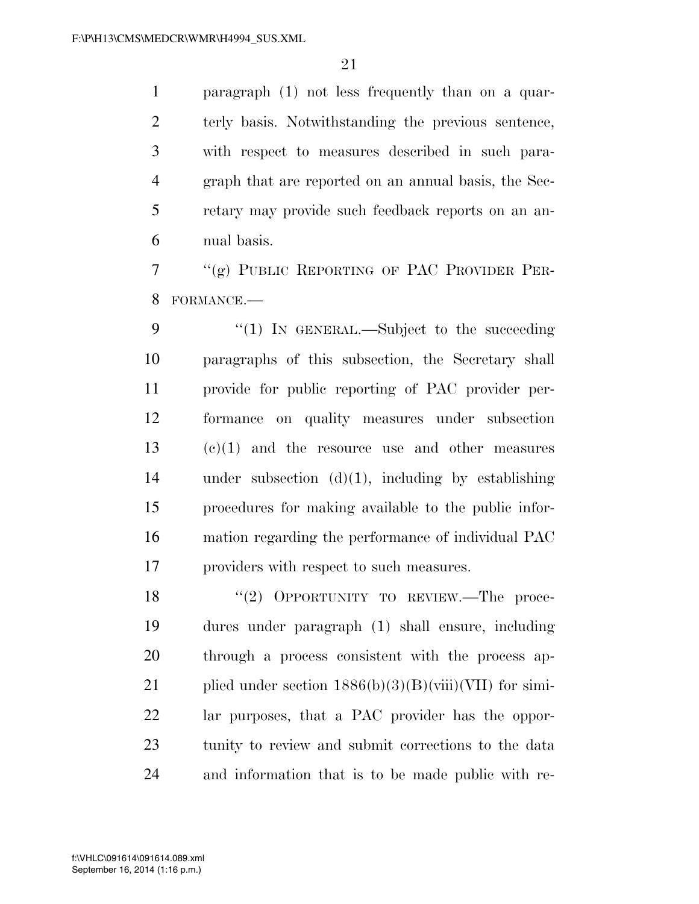paragraph (1) not less frequently than on a quar- terly basis. Notwithstanding the previous sentence, with respect to measures described in such para- graph that are reported on an annual basis, the Sec- retary may provide such feedback reports on an an-nual basis.

 ''(g) PUBLIC REPORTING OF PAC PROVIDER PER-FORMANCE.—

9 "(1) IN GENERAL.—Subject to the succeeding paragraphs of this subsection, the Secretary shall provide for public reporting of PAC provider per- formance on quality measures under subsection (c)(1) and the resource use and other measures under subsection (d)(1), including by establishing procedures for making available to the public infor- mation regarding the performance of individual PAC providers with respect to such measures.

18 "(2) OPPORTUNITY TO REVIEW.—The proce- dures under paragraph (1) shall ensure, including through a process consistent with the process ap-21 plied under section  $1886(b)(3)(B)(viii)(VII)$  for simi- lar purposes, that a PAC provider has the oppor- tunity to review and submit corrections to the data and information that is to be made public with re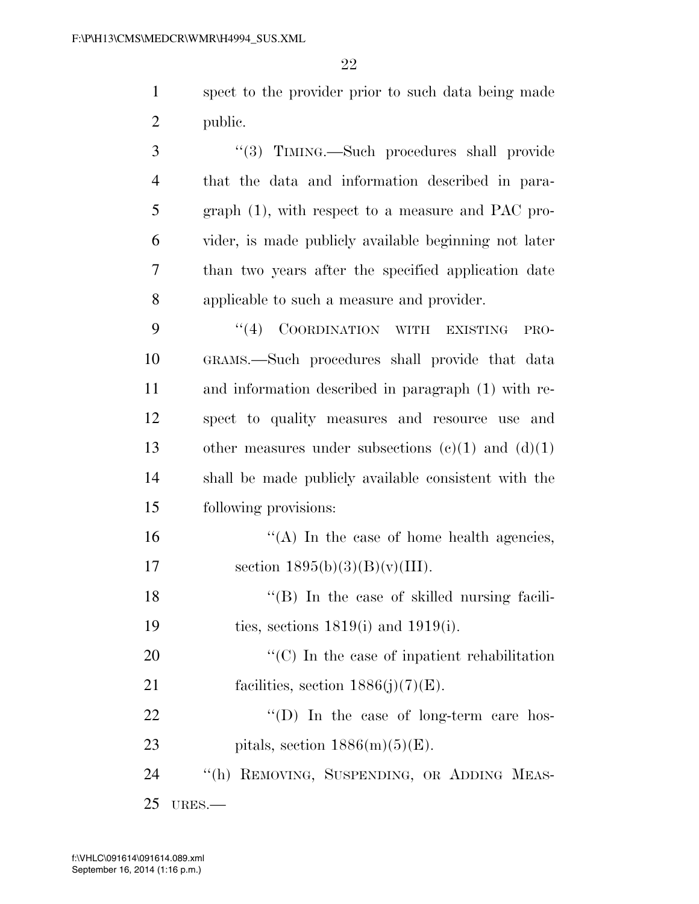1 spect to the provider prior to such data being made 2 public.

 ''(3) TIMING.—Such procedures shall provide that the data and information described in para- graph (1), with respect to a measure and PAC pro- vider, is made publicly available beginning not later than two years after the specified application date applicable to such a measure and provider.

9 "(4) COORDINATION WITH EXISTING PRO- GRAMS.—Such procedures shall provide that data and information described in paragraph (1) with re- spect to quality measures and resource use and 13 other measures under subsections  $(c)(1)$  and  $(d)(1)$  shall be made publicly available consistent with the following provisions:

16 ''(A) In the case of home health agencies, 17 section  $1895(b)(3)(B)(v)(III)$ .

18 "(B) In the case of skilled nursing facili-19 ties, sections 1819(i) and 1919(i).

20  $\cdot$  (C) In the case of inpatient rehabilitation 21 facilities, section  $1886(j)(7)(E)$ .

22  $\text{``(D)}$  In the case of long-term care hos-23 pitals, section  $1886(m)(5)(E)$ .

24 ''(h) REMOVING, SUSPENDING, OR ADDING MEAS-25 URES.—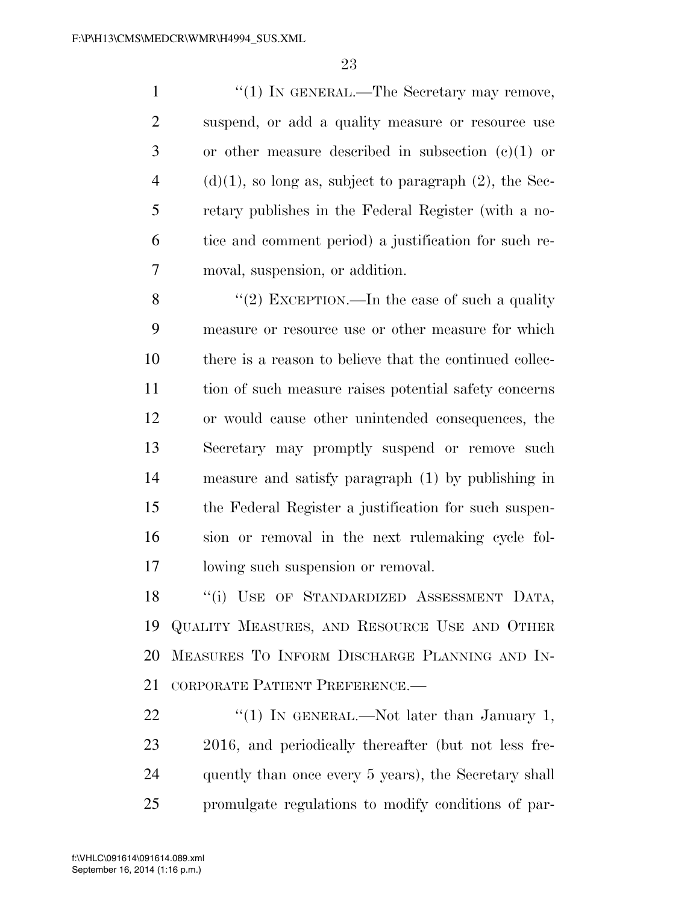1 ''(1) IN GENERAL.—The Secretary may remove, suspend, or add a quality measure or resource use or other measure described in subsection (c)(1) or 4 (d)(1), so long as, subject to paragraph (2), the Sec- retary publishes in the Federal Register (with a no- tice and comment period) a justification for such re-moval, suspension, or addition.

 $\frac{1}{2}$  EXCEPTION.—In the case of such a quality measure or resource use or other measure for which there is a reason to believe that the continued collec- tion of such measure raises potential safety concerns or would cause other unintended consequences, the Secretary may promptly suspend or remove such measure and satisfy paragraph (1) by publishing in the Federal Register a justification for such suspen- sion or removal in the next rulemaking cycle fol-lowing such suspension or removal.

18 "(i) USE OF STANDARDIZED ASSESSMENT DATA, QUALITY MEASURES, AND RESOURCE USE AND OTHER MEASURES TO INFORM DISCHARGE PLANNING AND IN-CORPORATE PATIENT PREFERENCE.—

 $\frac{1}{2}$  (1) In GENERAL.—Not later than January 1, 2016, and periodically thereafter (but not less fre-24 quently than once every 5 years), the Secretary shall promulgate regulations to modify conditions of par-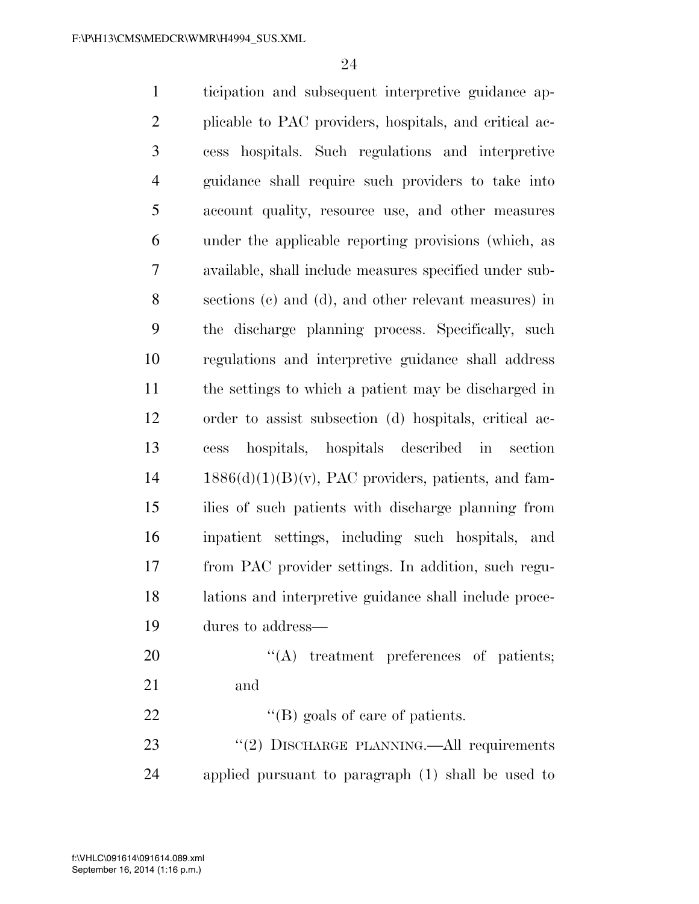ticipation and subsequent interpretive guidance ap- plicable to PAC providers, hospitals, and critical ac- cess hospitals. Such regulations and interpretive guidance shall require such providers to take into account quality, resource use, and other measures under the applicable reporting provisions (which, as available, shall include measures specified under sub- sections (c) and (d), and other relevant measures) in the discharge planning process. Specifically, such regulations and interpretive guidance shall address the settings to which a patient may be discharged in order to assist subsection (d) hospitals, critical ac- cess hospitals, hospitals described in section  $14 \qquad 1886(d)(1)(B)(v)$ , PAC providers, patients, and fam- ilies of such patients with discharge planning from inpatient settings, including such hospitals, and from PAC provider settings. In addition, such regu- lations and interpretive guidance shall include proce- dures to address—  $\text{``(A)}$  treatment preferences of patients; and 22 ''(B) goals of care of patients. 23 "(2) DISCHARGE PLANNING.—All requirements applied pursuant to paragraph (1) shall be used to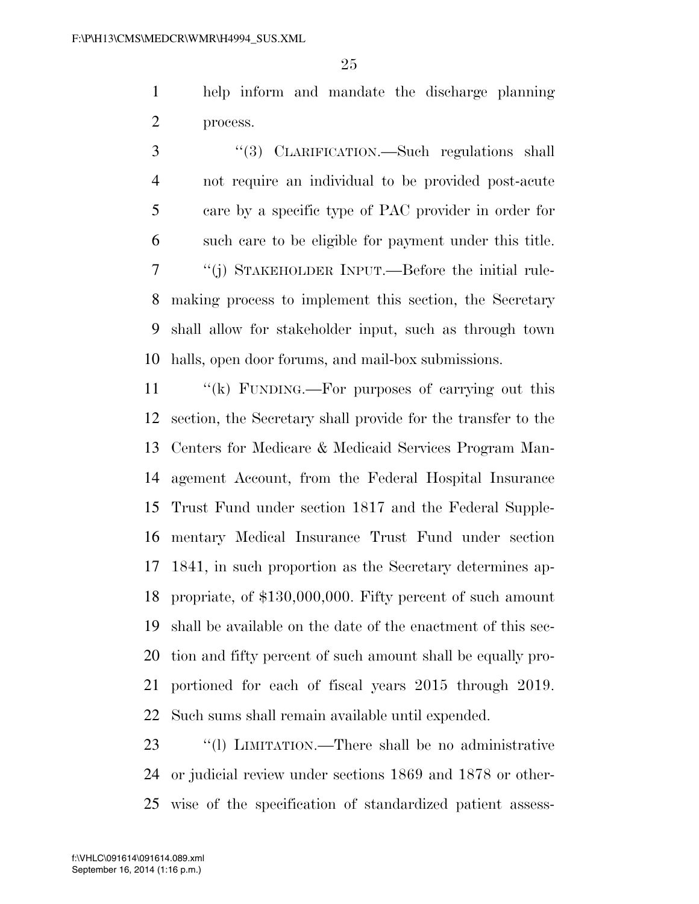help inform and mandate the discharge planning process.

 ''(3) CLARIFICATION.—Such regulations shall not require an individual to be provided post-acute care by a specific type of PAC provider in order for such care to be eligible for payment under this title. ''(j) STAKEHOLDER INPUT.—Before the initial rule- making process to implement this section, the Secretary shall allow for stakeholder input, such as through town halls, open door forums, and mail-box submissions.

11 "(k) FUNDING.—For purposes of carrying out this section, the Secretary shall provide for the transfer to the Centers for Medicare & Medicaid Services Program Man- agement Account, from the Federal Hospital Insurance Trust Fund under section 1817 and the Federal Supple- mentary Medical Insurance Trust Fund under section 1841, in such proportion as the Secretary determines ap- propriate, of \$130,000,000. Fifty percent of such amount shall be available on the date of the enactment of this sec- tion and fifty percent of such amount shall be equally pro- portioned for each of fiscal years 2015 through 2019. Such sums shall remain available until expended.

23 "(1) LIMITATION.—There shall be no administrative or judicial review under sections 1869 and 1878 or other-wise of the specification of standardized patient assess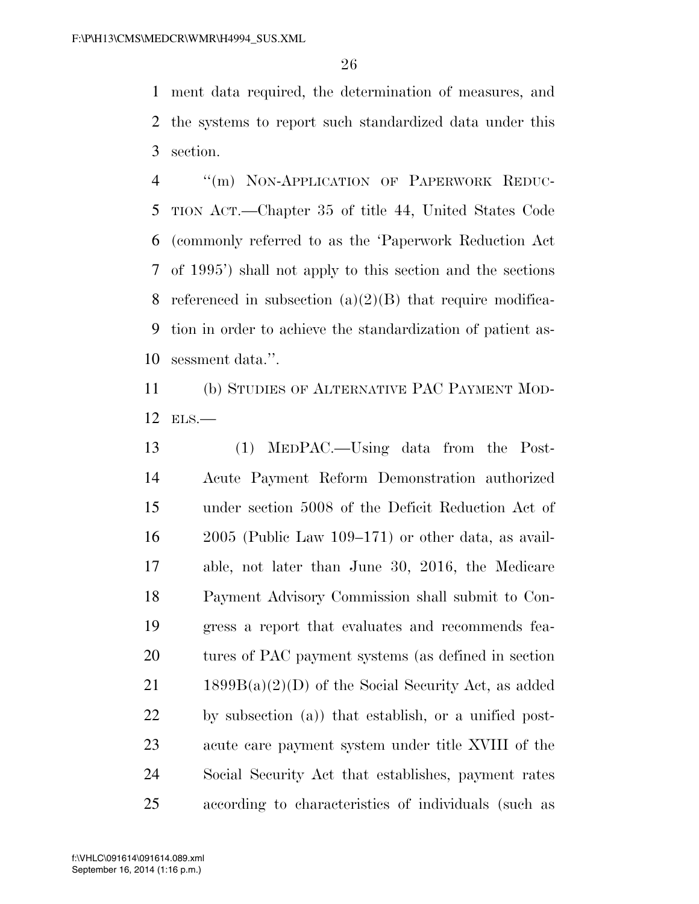ment data required, the determination of measures, and the systems to report such standardized data under this section.

4 "(m) NON-APPLICATION OF PAPERWORK REDUC- TION ACT.—Chapter 35 of title 44, United States Code (commonly referred to as the 'Paperwork Reduction Act of 1995') shall not apply to this section and the sections 8 referenced in subsection  $(a)(2)(B)$  that require modifica- tion in order to achieve the standardization of patient as-sessment data.''.

 (b) STUDIES OF ALTERNATIVE PAC PAYMENT MOD-ELS.—

 (1) MEDPAC.—Using data from the Post- Acute Payment Reform Demonstration authorized under section 5008 of the Deficit Reduction Act of 2005 (Public Law 109–171) or other data, as avail- able, not later than June 30, 2016, the Medicare Payment Advisory Commission shall submit to Con- gress a report that evaluates and recommends fea- tures of PAC payment systems (as defined in section 21 1899 $B(a)(2)(D)$  of the Social Security Act, as added by subsection (a)) that establish, or a unified post- acute care payment system under title XVIII of the Social Security Act that establishes, payment rates according to characteristics of individuals (such as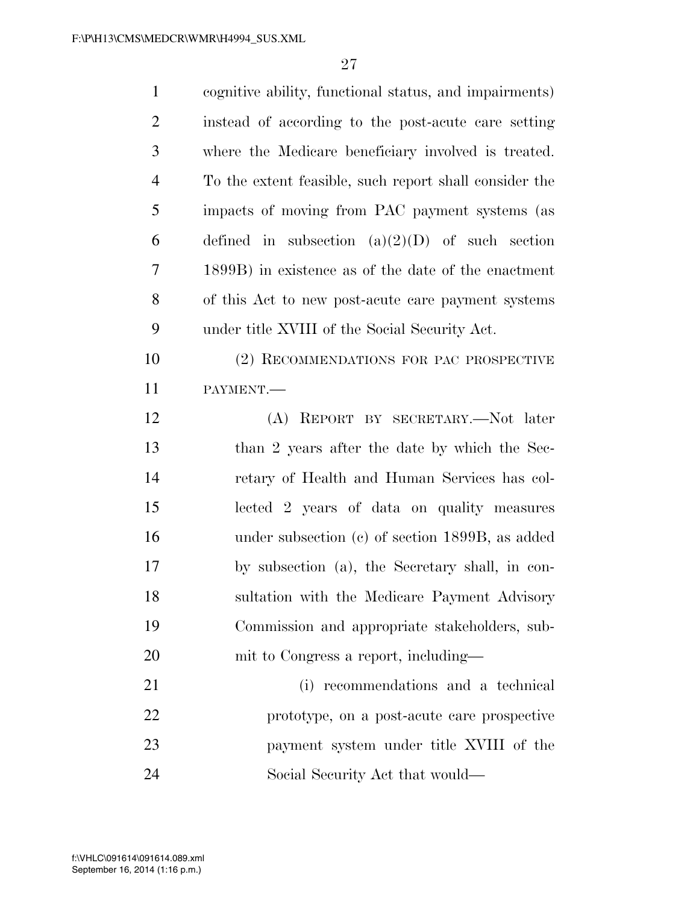| $\mathbf{1}$   | cognitive ability, functional status, and impairments) |
|----------------|--------------------------------------------------------|
| $\mathfrak{2}$ | instead of according to the post-acute care setting    |
| 3              | where the Medicare beneficiary involved is treated.    |
| $\overline{4}$ | To the extent feasible, such report shall consider the |
| 5              | impacts of moving from PAC payment systems (as         |
| 6              | defined in subsection $(a)(2)(D)$ of such section      |
| 7              | 1899B) in existence as of the date of the enactment    |
| 8              | of this Act to new post-acute care payment systems     |
| 9              | under title XVIII of the Social Security Act.          |
| 10             | (2) RECOMMENDATIONS FOR PAC PROSPECTIVE                |
| 11             | PAYMENT.                                               |
| 12             | (A) REPORT BY SECRETARY.—Not later                     |
| 13             | than 2 years after the date by which the Sec-          |
| 14             | retary of Health and Human Services has col-           |
| 15             | lected 2 years of data on quality measures             |
| 16             | under subsection $(c)$ of section 1899B, as added      |
| 17             | by subsection (a), the Secretary shall, in con-        |
| 18             | sultation with the Medicare Payment Advisory           |
| 19             | Commission and appropriate stakeholders, sub-          |
| 20             | mit to Congress a report, including—                   |
| 21             | (i) recommendations and a technical                    |
| 22             | prototype, on a post-acute care prospective            |
| 23             | payment system under title XVIII of the                |
| 24             | Social Security Act that would—                        |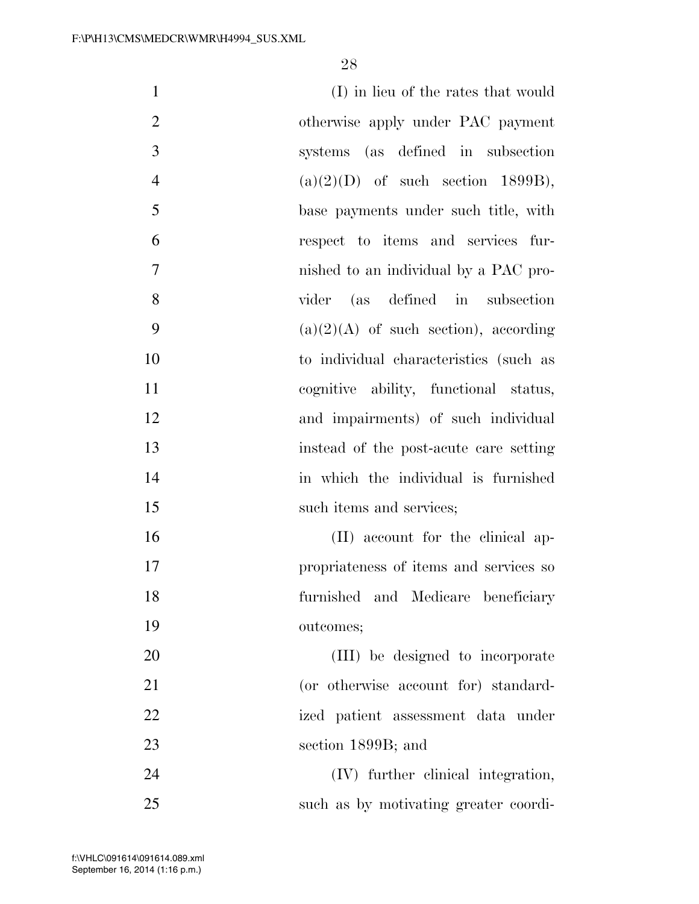| $\mathbf{1}$     | (I) in lieu of the rates that would     |
|------------------|-----------------------------------------|
| $\overline{2}$   | otherwise apply under PAC payment       |
| 3                | systems (as defined in subsection       |
| $\overline{4}$   | $(a)(2)(D)$ of such section 1899B),     |
| 5                | base payments under such title, with    |
| 6                | respect to items and services fur-      |
| $\boldsymbol{7}$ | nished to an individual by a PAC pro-   |
| 8                | vider (as defined in subsection         |
| 9                | $(a)(2)(A)$ of such section), according |
| 10               | to individual characteristics (such as  |
| 11               | cognitive ability, functional status,   |
| 12               | and impairments) of such individual     |
| 13               | instead of the post-acute care setting  |
| 14               | in which the individual is furnished    |
| 15               | such items and services;                |
| 16               | (II) account for the clinical ap-       |
| 17               | propriateness of items and services so  |
| 18               | furnished and Medicare beneficiary      |
| 19               | outcomes;                               |
| 20               | (III) be designed to incorporate        |
| 21               | (or otherwise account for) standard-    |
| 22               | ized patient assessment data under      |
| 23               | section 1899B; and                      |
| 24               | (IV) further clinical integration,      |
| 25               | such as by motivating greater coordi-   |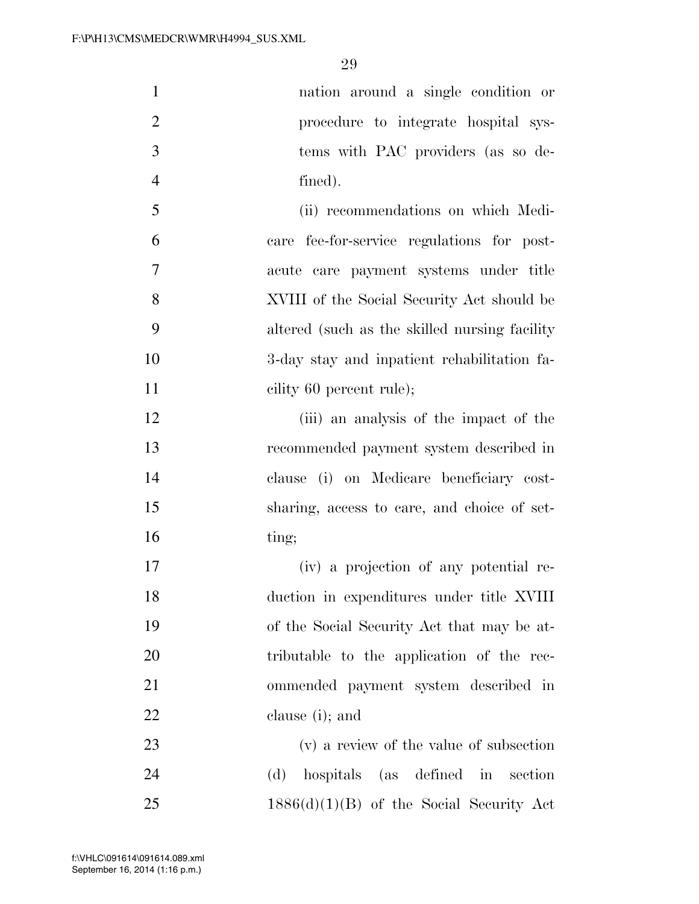nation around a single condition or procedure to integrate hospital sys- tems with PAC providers (as so de-fined).

 (ii) recommendations on which Medi- care fee-for-service regulations for post- acute care payment systems under title XVIII of the Social Security Act should be altered (such as the skilled nursing facility 3-day stay and inpatient rehabilitation fa-11 cility 60 percent rule);

12 (iii) an analysis of the impact of the recommended payment system described in clause (i) on Medicare beneficiary cost- sharing, access to care, and choice of set-ting;

 (iv) a projection of any potential re- duction in expenditures under title XVIII of the Social Security Act that may be at- tributable to the application of the rec- ommended payment system described in clause (i); and

 (v) a review of the value of subsection (d) hospitals (as defined in section  $1886(d)(1)(B)$  of the Social Security Act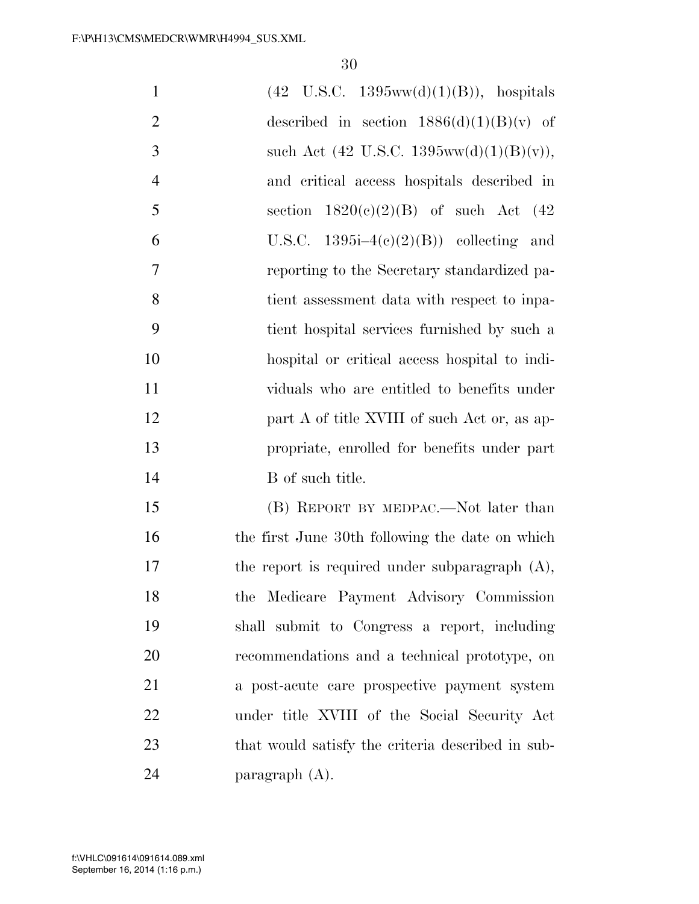| $\mathbf{1}$   | $(42 \text{ U.S.C. } 1395 \text{ww}(d)(1)(B)),$ hospitals |
|----------------|-----------------------------------------------------------|
| $\overline{2}$ | described in section $1886(d)(1)(B)(v)$ of                |
| 3              | such Act (42 U.S.C. 1395ww(d)(1)(B)(v)),                  |
| $\overline{4}$ | and critical access hospitals described in                |
| 5              | section $1820(c)(2)(B)$ of such Act (42)                  |
| 6              | U.S.C. $1395i-4(c)(2)(B)$ collecting and                  |
| 7              | reporting to the Secretary standardized pa-               |
| 8              | tient assessment data with respect to inpa-               |
| 9              | tient hospital services furnished by such a               |
| 10             | hospital or critical access hospital to indi-             |
| 11             | viduals who are entitled to benefits under                |
| 12             | part A of title XVIII of such Act or, as ap-              |
| 13             | propriate, enrolled for benefits under part               |
| 14             | B of such title.                                          |
| 15             | (B) REPORT BY MEDPAC.—Not later than                      |
| 16             | the first June 30th following the date on which           |
| 17             | the report is required under subparagraph $(A)$ ,         |
| 18             | the Medicare Payment Advisory Commission                  |
| 19             | shall submit to Congress a report, including              |
| 20             | recommendations and a technical prototype, on             |
| 21             | a post-acute care prospective payment system              |
| 22             | under title XVIII of the Social Security Act              |
| 23             | that would satisfy the criteria described in sub-         |
| 24             | paragraph $(A)$ .                                         |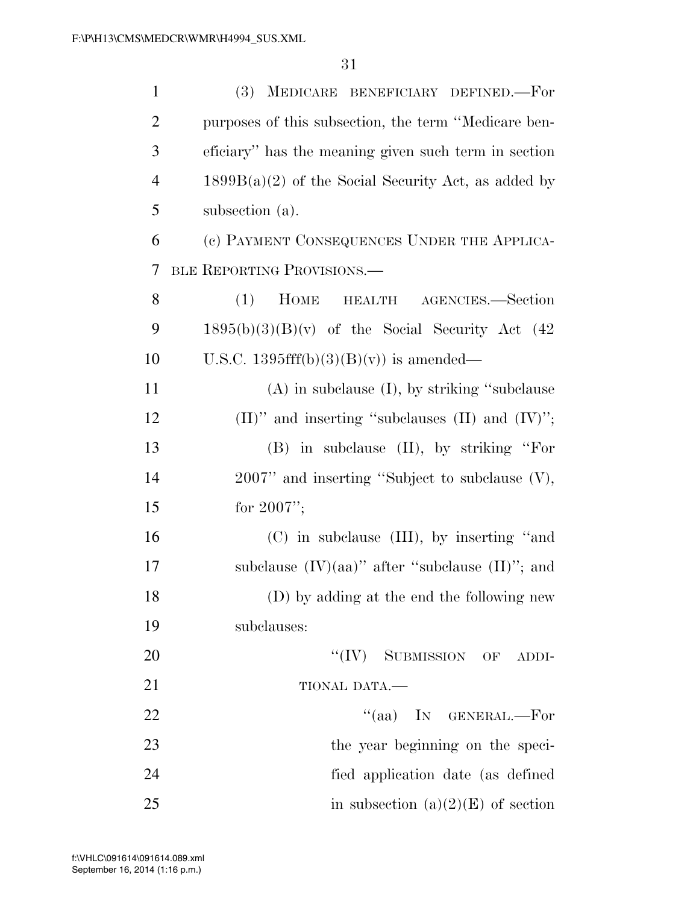| $\mathbf{1}$             | (3) MEDICARE BENEFICIARY DEFINED.-For                   |
|--------------------------|---------------------------------------------------------|
| $\overline{2}$           | purposes of this subsection, the term "Medicare ben-    |
| 3                        | eficiary" has the meaning given such term in section    |
| $\overline{4}$           | $1899B(a)(2)$ of the Social Security Act, as added by   |
| 5                        | subsection (a).                                         |
| 6                        | (c) PAYMENT CONSEQUENCES UNDER THE APPLICA-             |
| $\overline{\mathcal{L}}$ | BLE REPORTING PROVISIONS.                               |
| 8                        | <b>HOME</b><br>(1)<br>HEALTH AGENCIES.-Section          |
| 9                        | $1895(b)(3)(B)(v)$ of the Social Security Act (42       |
| 10                       | U.S.C. 1395fff(b)(3)(B)(v)) is amended—                 |
| 11                       | $(A)$ in subclause $(I)$ , by striking "subclause"      |
| 12                       | $(II)$ " and inserting "subclauses $(II)$ and $(IV)$ "; |
| 13                       | (B) in subclause (II), by striking "For                 |
| 14                       | $2007$ " and inserting "Subject to subclause $(V)$ ,    |
| 15                       | for $2007$ ";                                           |
| 16                       | (C) in subclause (III), by inserting "and               |
| 17                       | subclause $(IV)(aa)$ " after "subclause $(II)$ "; and   |
| 18                       | (D) by adding at the end the following new              |
| 19                       | subclauses:                                             |
| 20                       | $``(IV)$ SUBMISSION OF ADDI-                            |
| 21                       | TIONAL DATA.                                            |
| 22                       | $\lq(aa)$ IN GENERAL.—For                               |
| 23                       | the year beginning on the speci-                        |
| 24                       | fied application date (as defined                       |
| 25                       | in subsection $(a)(2)(E)$ of section                    |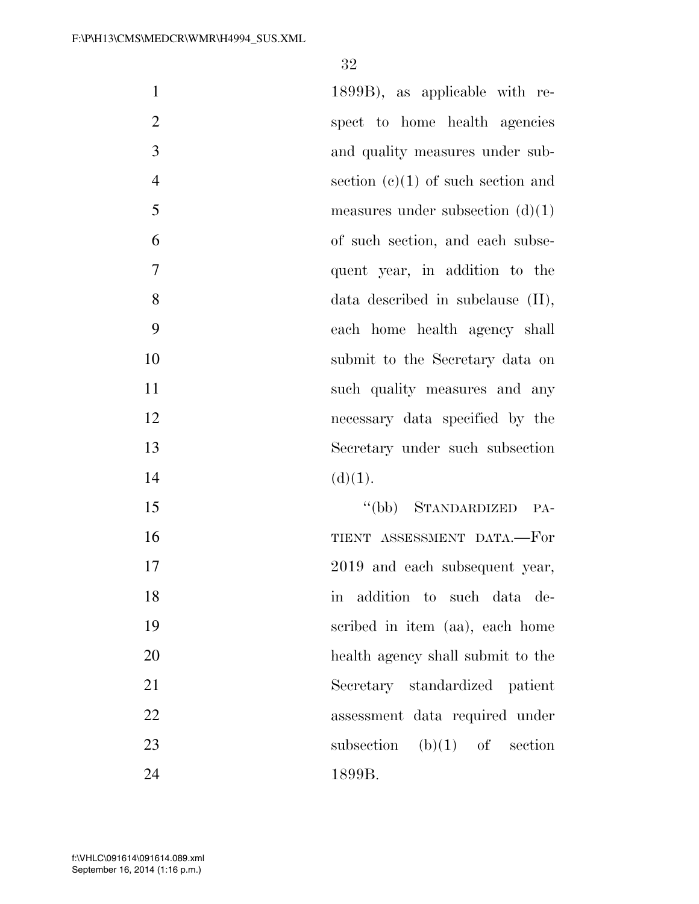| $\mathbf{1}$   | 1899B), as applicable with re-         |
|----------------|----------------------------------------|
| $\overline{2}$ | spect to home health agencies          |
| 3              | and quality measures under sub-        |
| $\overline{4}$ | section $(e)(1)$ of such section and   |
| 5              | measures under subsection $(d)(1)$     |
| 6              | of such section, and each subse-       |
| 7              | quent year, in addition to the         |
| 8              | $data$ described in subclause $(II)$ , |
| 9              | each home health agency shall          |
| 10             | submit to the Secretary data on        |
| 11             | such quality measures and any          |
| 12             | necessary data specified by the        |
| 13             | Secretary under such subsection        |
| 14             | (d)(1).                                |
| 15             | "(bb) STANDARDIZED PA-                 |
| 16             | TIENT ASSESSMENT DATA.-For             |
| 17             | 2019 and each subsequent year,         |
| 18             | addition to such data de-<br>m         |
| 19             | scribed in item (aa), each home        |
| 20             | health agency shall submit to the      |
| 21             | Secretary standardized patient         |
| 22             | assessment data required under         |
| 23             | subsection $(b)(1)$ of section         |
| 24             | 1899B.                                 |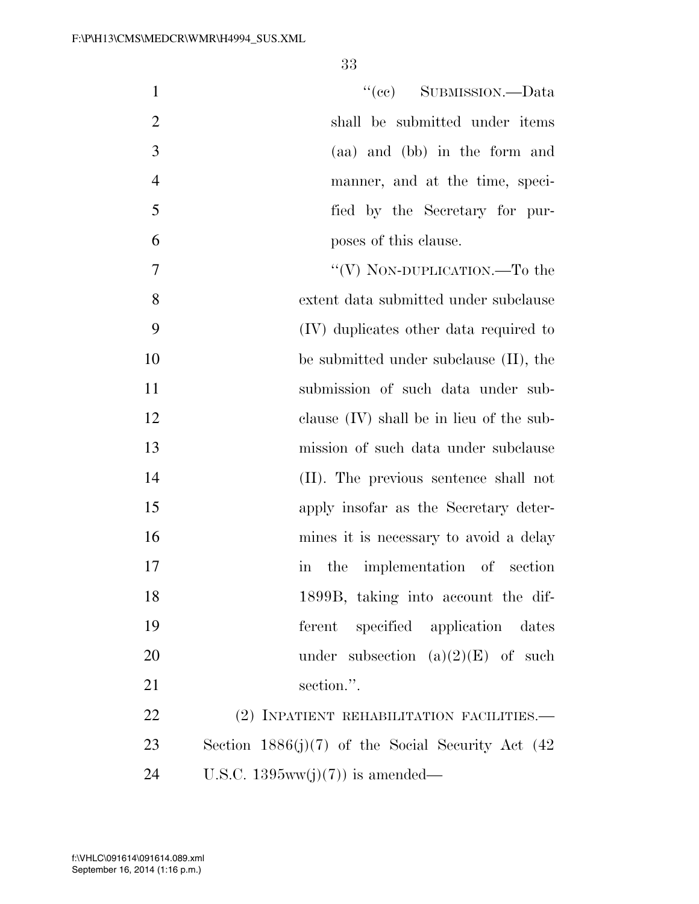| $\mathbf{1}$   | "(cc) SUBMISSION.—Data                                  |
|----------------|---------------------------------------------------------|
| $\overline{2}$ | shall be submitted under items                          |
| 3              | (aa) and (bb) in the form and                           |
| $\overline{4}$ | manner, and at the time, speci-                         |
| 5              | fied by the Secretary for pur-                          |
| 6              | poses of this clause.                                   |
| 7              | "(V) NON-DUPLICATION.—To the                            |
| 8              | extent data submitted under subclause                   |
| 9              | (IV) duplicates other data required to                  |
| 10             | be submitted under subclause $(II)$ , the               |
| 11             | submission of such data under sub-                      |
| 12             | clause $(IV)$ shall be in lieu of the sub-              |
| 13             | mission of such data under subclause                    |
| 14             | (II). The previous sentence shall not                   |
| 15             | apply insofar as the Secretary deter-                   |
| 16             | mines it is necessary to avoid a delay                  |
| 17             | the implementation of section<br>$\overline{\text{in}}$ |
| 18             | 1899B, taking into account the dif-                     |
| 19             | specified application<br>ferent<br>dates                |
| 20             | under subsection $(a)(2)(E)$ of such                    |
| 21             | section.".                                              |
| 22             | (2) INPATIENT REHABILITATION FACILITIES.-               |
| 23             | Section $1886(j)(7)$ of the Social Security Act (42)    |
| 24             | U.S.C. $1395ww(j)(7)$ is amended—                       |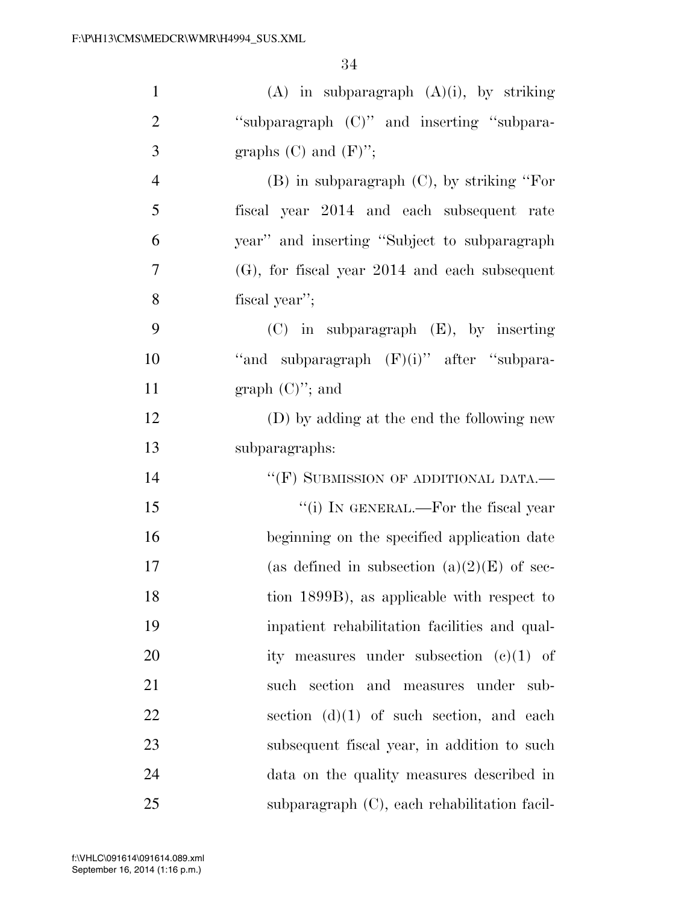| $\mathbf{1}$   | $(A)$ in subparagraph $(A)(i)$ , by striking     |
|----------------|--------------------------------------------------|
| $\mathbf{2}$   | "subparagraph (C)" and inserting "subpara-       |
| 3              | graphs $(C)$ and $(F)$ ";                        |
| $\overline{4}$ | $(B)$ in subparagraph $(C)$ , by striking "For   |
| 5              | fiscal year 2014 and each subsequent rate        |
| 6              | year" and inserting "Subject to subparagraph"    |
| 7              | $(G)$ , for fiscal year 2014 and each subsequent |
| 8              | fiscal year";                                    |
| 9              | $(C)$ in subparagraph $(E)$ , by inserting       |
| 10             | "and subparagraph $(F)(i)$ " after "subpara-     |
| 11             | graph $(C)$ "; and                               |
| 12             | (D) by adding at the end the following new       |
| 13             | subparagraphs:                                   |
| 14             | "(F) SUBMISSION OF ADDITIONAL DATA.—             |
| 15             | "(i) IN GENERAL.—For the fiscal year             |
| 16             | beginning on the specified application date      |
| 17             | (as defined in subsection $(a)(2)(E)$ of sec-    |
| 18             | tion 1899B), as applicable with respect to       |
| 19             | inpatient rehabilitation facilities and qual-    |
| 20             | ity measures under subsection $(c)(1)$ of        |
| 21             | such section and measures under<br>sub-          |
| 22             | section $(d)(1)$ of such section, and each       |
| 23             | subsequent fiscal year, in addition to such      |
| 24             | data on the quality measures described in        |
| 25             | subparagraph (C), each rehabilitation facil-     |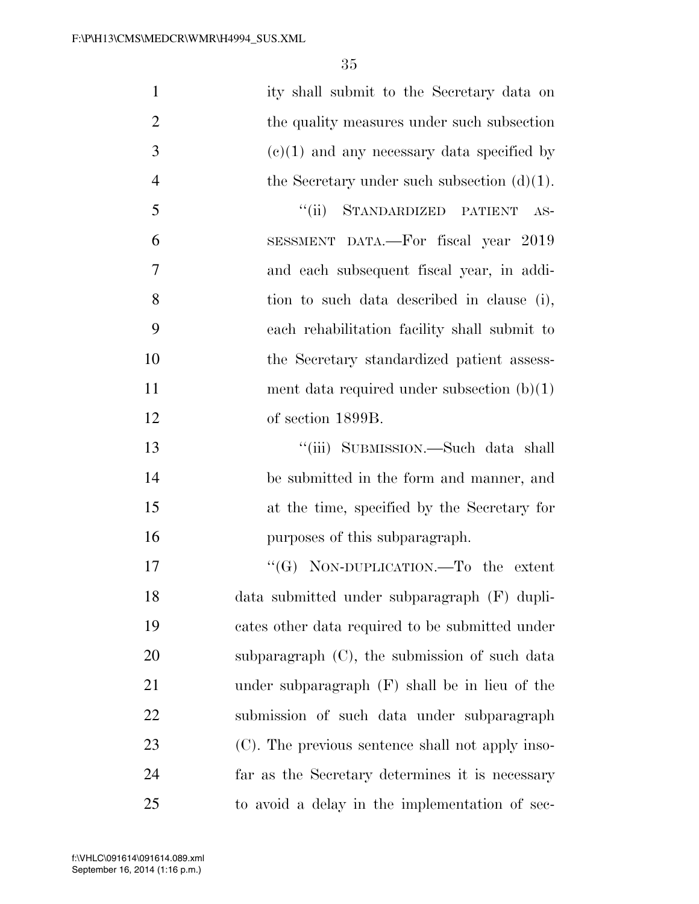| $\mathbf{1}$   | ity shall submit to the Secretary data on        |
|----------------|--------------------------------------------------|
| $\overline{2}$ | the quality measures under such subsection       |
| 3              | $(e)(1)$ and any necessary data specified by     |
| $\overline{4}$ | the Secretary under such subsection $(d)(1)$ .   |
| 5              | STANDARDIZED PATIENT<br>``(ii)<br>$AS-$          |
| 6              | SESSMENT DATA.—For fiscal year 2019              |
| 7              | and each subsequent fiscal year, in addi-        |
| 8              | tion to such data described in clause (i),       |
| 9              | each rehabilitation facility shall submit to     |
| 10             | the Secretary standardized patient assess-       |
| 11             | ment data required under subsection $(b)(1)$     |
| 12             | of section 1899B.                                |
| 13             | "(iii) SUBMISSION.—Such data shall               |
| 14             | be submitted in the form and manner, and         |
| 15             | at the time, specified by the Secretary for      |
| 16             | purposes of this subparagraph.                   |
| 17             | "(G) NON-DUPLICATION.—To the extent              |
| 18             | data submitted under subparagraph (F) dupli-     |
| 19             | cates other data required to be submitted under  |
| 20             | subparagraph $(C)$ , the submission of such data |
| 21             | under subparagraph $(F)$ shall be in lieu of the |
| 22             | submission of such data under subparagraph       |
| 23             | (C). The previous sentence shall not apply inso- |
| 24             | far as the Secretary determines it is necessary  |
| 25             | to avoid a delay in the implementation of sec-   |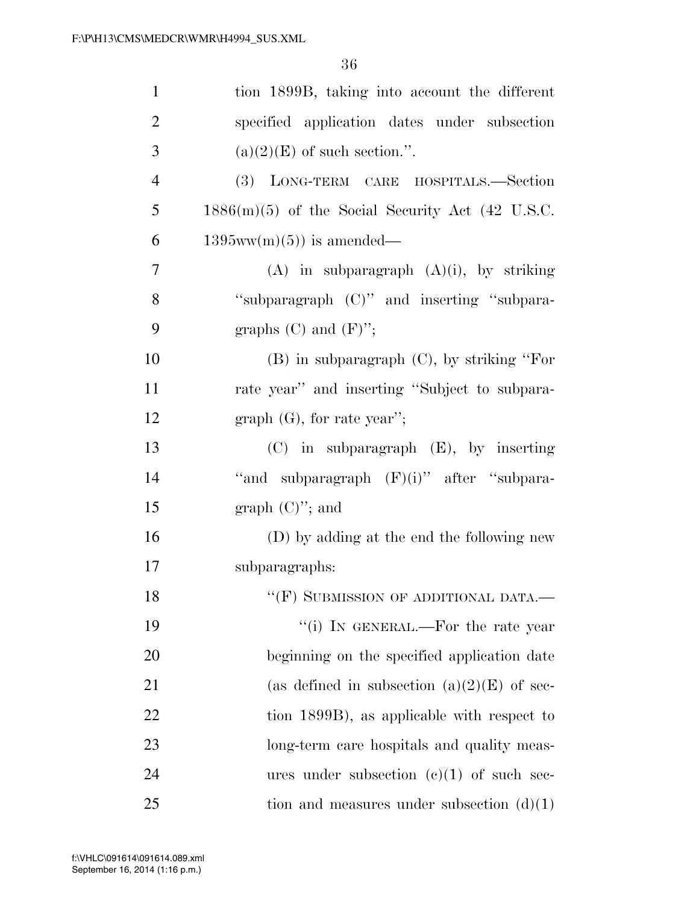| $\mathbf{1}$   | tion 1899B, taking into account the different      |
|----------------|----------------------------------------------------|
| $\overline{2}$ | specified application dates under subsection       |
| 3              | $(a)(2)(E)$ of such section.".                     |
| $\overline{4}$ | (3) LONG-TERM CARE HOSPITALS.-Section              |
| 5              | $1886(m)(5)$ of the Social Security Act (42 U.S.C. |
| 6              | $1395ww(m)(5)$ is amended—                         |
| $\overline{7}$ | $(A)$ in subparagraph $(A)(i)$ , by striking       |
| 8              | "subparagraph (C)" and inserting "subpara-         |
| 9              | graphs $(C)$ and $(F)$ ";                          |
| 10             | $(B)$ in subparagraph $(C)$ , by striking "For     |
| 11             | rate year" and inserting "Subject to subpara-      |
| 12             | graph $(G)$ , for rate year'';                     |
| 13             | $(C)$ in subparagraph $(E)$ , by inserting         |
| 14             | "and subparagraph $(F)(i)$ " after "subpara-       |
| 15             | graph $(C)$ "; and                                 |
| 16             | (D) by adding at the end the following new         |
| 17             | subparagraphs:                                     |
| 18             | $``$ (F) SUBMISSION OF ADDITIONAL DATA.—           |
| 19             | "(i) IN GENERAL.—For the rate year                 |
| 20             | beginning on the specified application date        |
| 21             | (as defined in subsection $(a)(2)(E)$ of sec-      |
| 22             | tion 1899B), as applicable with respect to         |
| 23             | long-term care hospitals and quality meas-         |
| 24             | ures under subsection $(e)(1)$ of such sec-        |
| 25             | tion and measures under subsection $(d)(1)$        |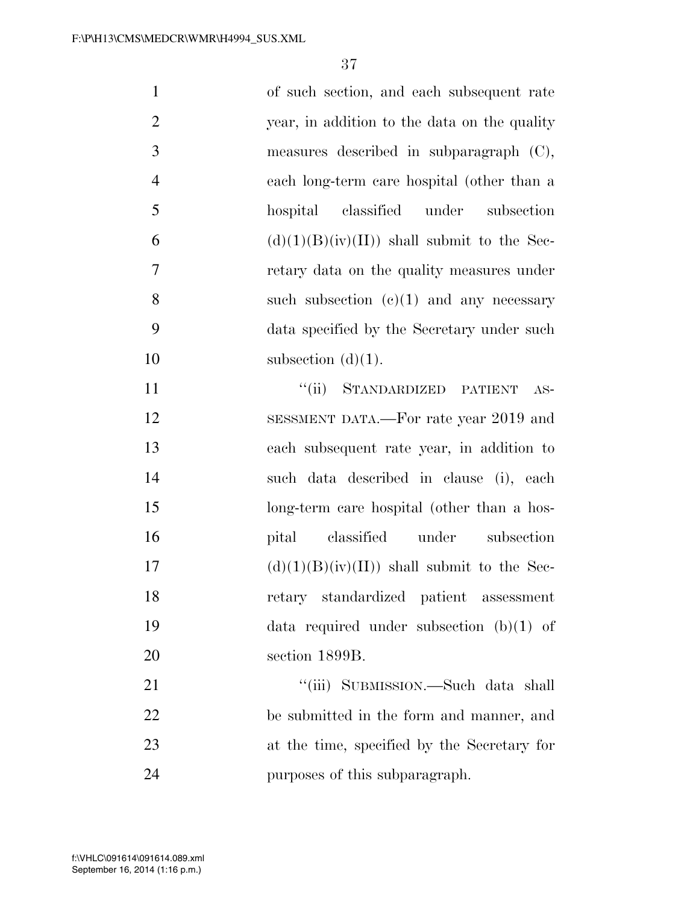| $\mathbf{1}$   | of such section, and each subsequent rate     |
|----------------|-----------------------------------------------|
| $\overline{2}$ | year, in addition to the data on the quality  |
| 3              | measures described in subparagraph $(C)$ ,    |
| $\overline{4}$ | each long-term care hospital (other than a    |
| 5              | classified under subsection<br>hospital       |
| 6              | $(d)(1)(B)(iv)(II))$ shall submit to the Sec- |
| 7              | retary data on the quality measures under     |
| 8              | such subsection $(c)(1)$ and any necessary    |
| 9              | data specified by the Secretary under such    |
| 10             | subsection $(d)(1)$ .                         |
| 11             | "(ii) STANDARDIZED PATIENT<br>$AS-$           |
| 12             | SESSMENT DATA.—For rate year 2019 and         |
| 13             | each subsequent rate year, in addition to     |
| 14             | such data described in clause (i), each       |
| 15             | long-term care hospital (other than a hos-    |
| 16             | pital classified under subsection             |
| 17             | $(d)(1)(B)(iv)(II))$ shall submit to the Sec- |
| 18             | retary standardized patient assessment        |
| 19             | data required under subsection $(b)(1)$ of    |
| 20             | section 1899B.                                |
| 21             | "(iii) SUBMISSION.—Such data shall            |
| 22             | be submitted in the form and manner, and      |
| 23             | at the time, specified by the Secretary for   |
| 24             | purposes of this subparagraph.                |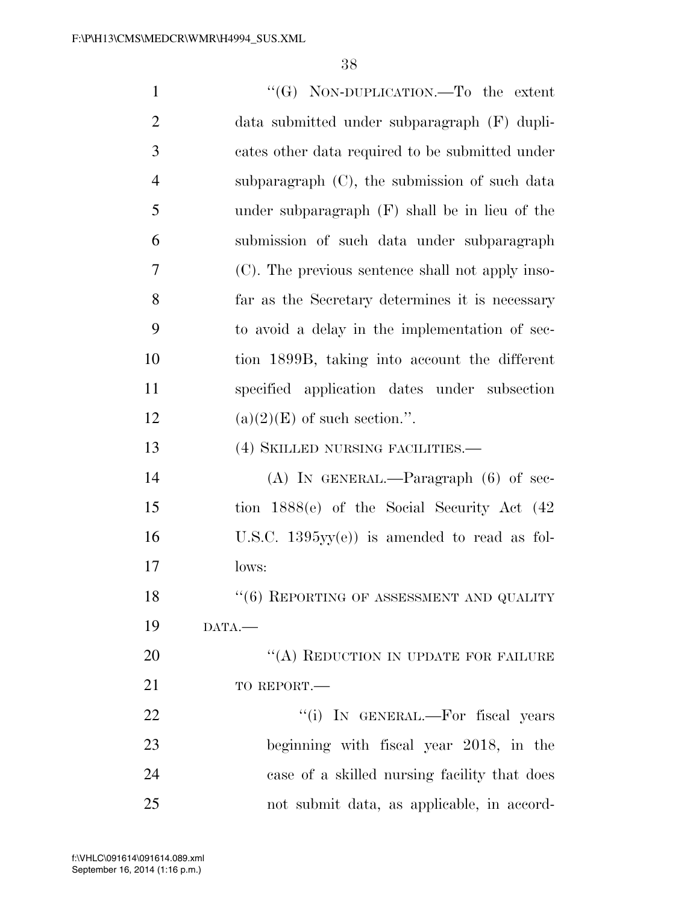| $\mathbf{1}$   | "(G) NON-DUPLICATION.—To the extent              |
|----------------|--------------------------------------------------|
| $\overline{2}$ | data submitted under subparagraph (F) dupli-     |
| 3              | cates other data required to be submitted under  |
| $\overline{4}$ | subparagraph (C), the submission of such data    |
| 5              | under subparagraph $(F)$ shall be in lieu of the |
| 6              | submission of such data under subparagraph       |
| 7              | (C). The previous sentence shall not apply inso- |
| 8              | far as the Secretary determines it is necessary  |
| 9              | to avoid a delay in the implementation of sec-   |
| 10             | tion 1899B, taking into account the different    |
| 11             | specified application dates under subsection     |
| 12             | $(a)(2)(E)$ of such section.".                   |
| 13             | (4) SKILLED NURSING FACILITIES.—                 |
| 14             | $(A)$ In GENERAL.—Paragraph $(6)$ of sec-        |
| 15             | tion 1888(e) of the Social Security Act (42)     |
| 16             | U.S.C. $1395yy(e)$ is amended to read as fol-    |
| 17             | lows:                                            |
| 18             | $``(6)$ REPORTING OF ASSESSMENT AND QUALITY      |
| 19             | DATA.                                            |
| 20             | "(A) REDUCTION IN UPDATE FOR FAILURE             |
| 21             | TO REPORT.-                                      |
| 22             | "(i) IN GENERAL.—For fiscal years                |
| 23             | beginning with fiscal year 2018, in the          |
| 24             | case of a skilled nursing facility that does     |
| 25             | not submit data, as applicable, in accord-       |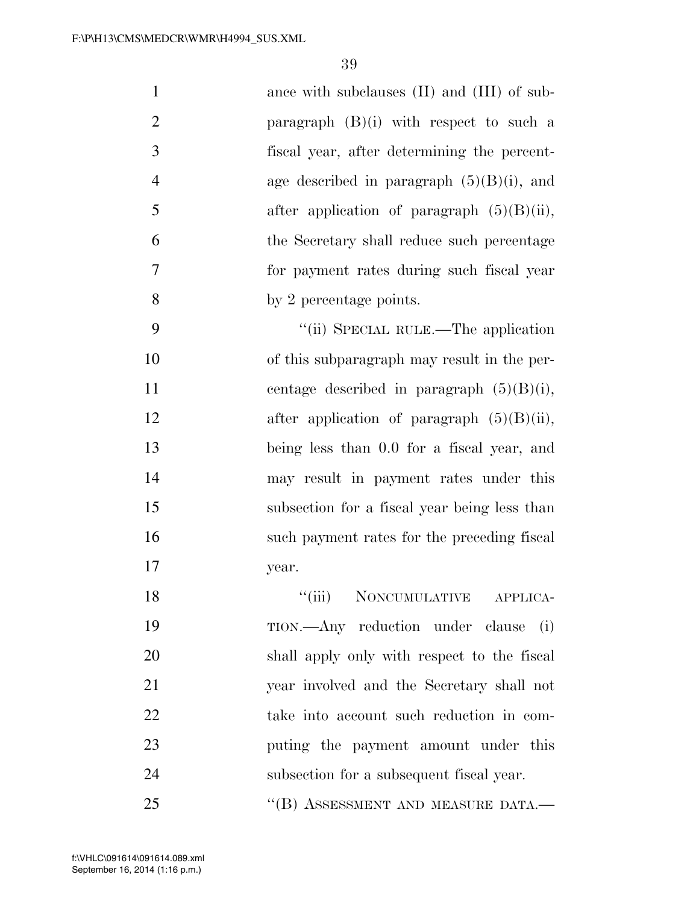| $\mathbf{1}$   | ance with subclauses (II) and (III) of sub-   |
|----------------|-----------------------------------------------|
| $\overline{2}$ | paragraph $(B)(i)$ with respect to such a     |
| 3              | fiscal year, after determining the percent-   |
| $\overline{4}$ | age described in paragraph $(5)(B)(i)$ , and  |
| 5              | after application of paragraph $(5)(B)(ii)$ , |
| 6              | the Secretary shall reduce such percentage    |
| 7              | for payment rates during such fiscal year     |
| 8              | by 2 percentage points.                       |
| 9              | "(ii) SPECIAL RULE.—The application           |
| 10             | of this subparagraph may result in the per-   |
| 11             | centage described in paragraph $(5)(B)(i)$ ,  |
| 12             | after application of paragraph $(5)(B)(ii)$ , |
| 13             | being less than 0.0 for a fiscal year, and    |
| 14             | may result in payment rates under this        |
| 15             | subsection for a fiscal year being less than  |
| 16             | such payment rates for the preceding fiscal   |
| 17             | year.                                         |
| 18             | "(iii) NONCUMULATIVE APPLICA-                 |
| 19             | TION.—Any reduction under clause<br>(i)       |
| 20             | shall apply only with respect to the fiscal   |
| 21             | year involved and the Secretary shall not     |
| 22             | take into account such reduction in com-      |
| 23             | puting the payment amount under this          |
| 24             | subsection for a subsequent fiscal year.      |

25 "(B) ASSESSMENT AND MEASURE DATA.—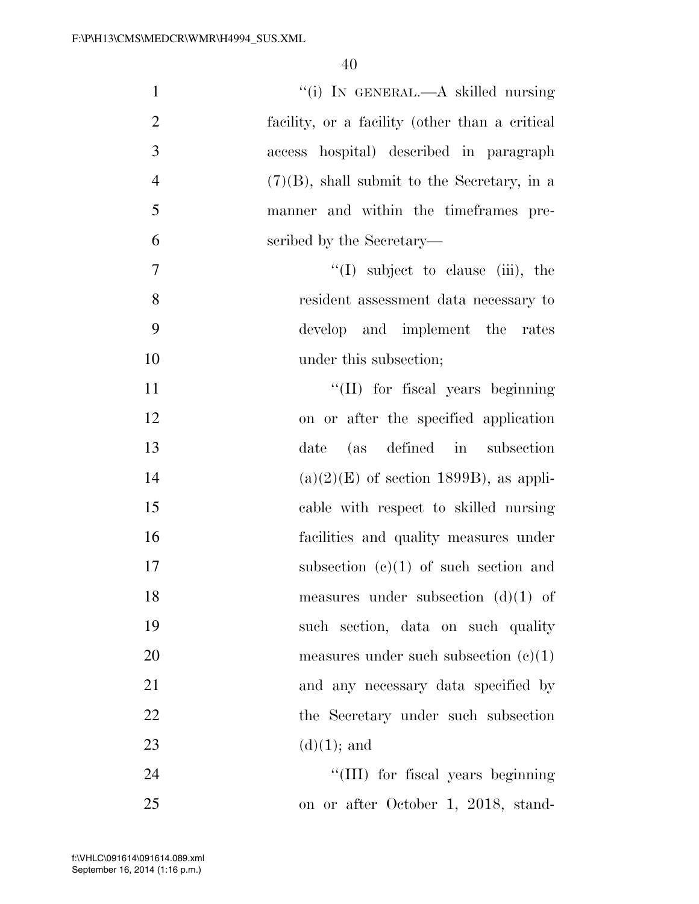| $\mathbf{1}$   | "(i) IN GENERAL.—A skilled nursing             |
|----------------|------------------------------------------------|
| $\overline{2}$ | facility, or a facility (other than a critical |
| 3              | access hospital) described in paragraph        |
| $\overline{4}$ | $(7)(B)$ , shall submit to the Secretary, in a |
| 5              | manner and within the timeframes pre-          |
| 6              | scribed by the Secretary—                      |
| $\tau$         | $\lq(1)$ subject to clause (iii), the          |
| 8              | resident assessment data necessary to          |
| 9              | develop and implement the rates                |
| 10             | under this subsection;                         |
| 11             | "(II) for fiscal years beginning               |
| 12             | on or after the specified application          |
| 13             | (as defined in subsection<br>date              |
| 14             | $(a)(2)(E)$ of section 1899B), as appli-       |
| 15             | cable with respect to skilled nursing          |
| 16             | facilities and quality measures under          |
| 17             | subsection $(c)(1)$ of such section and        |
| 18             | measures under subsection $(d)(1)$ of          |
| 19             | such section, data on such quality             |
| 20             | measures under such subsection $(e)(1)$        |
| 21             | and any necessary data specified by            |
| 22             | the Secretary under such subsection            |
| 23             | $(d)(1);$ and                                  |
| 24             | "(III) for fiscal years beginning              |
| 25             | on or after October 1, 2018, stand-            |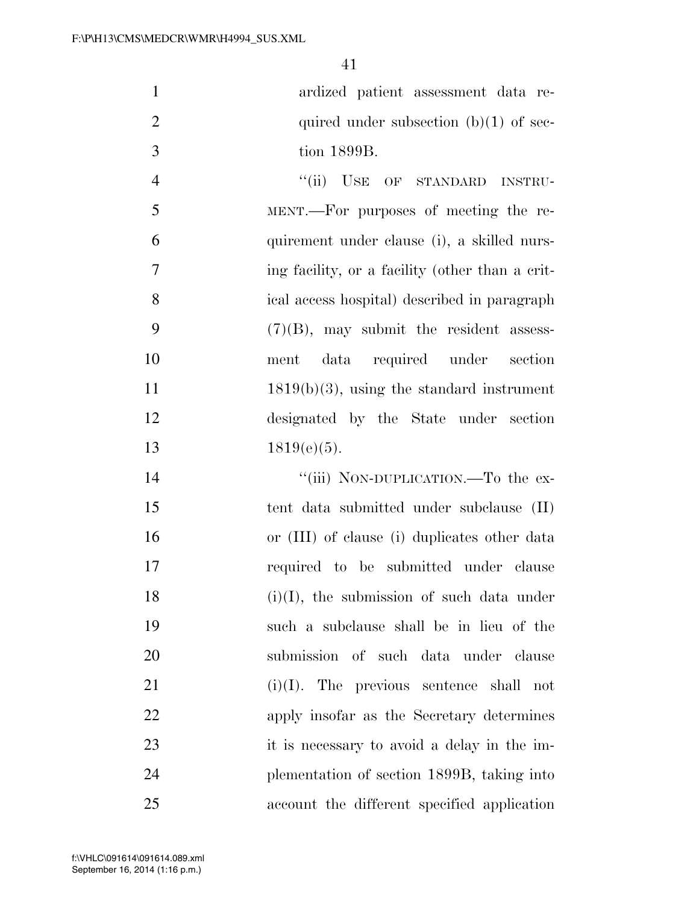|    | ardized patient assessment data re-         |
|----|---------------------------------------------|
|    | quired under subsection $(b)(1)$ of sec-    |
| -3 | tion 1899B.                                 |
|    | "(ii) USE OF STANDARD INSTRU-               |
| -5 | MENT.—For purposes of meeting the re-       |
|    | quirement under clause (i), a skilled nurs- |
|    |                                             |

 ing facility, or a facility (other than a crit- ical access hospital) described in paragraph (7)(B), may submit the resident assess- ment data required under section  $1819(b)(3)$ , using the standard instrument designated by the State under section 13 1819(e)(5).

14 "(iii) NON-DUPLICATION.—To the ex- tent data submitted under subclause (II) or (III) of clause (i) duplicates other data required to be submitted under clause  $(i)(I)$ , the submission of such data under such a subclause shall be in lieu of the submission of such data under clause  $(i)(I)$ . The previous sentence shall not apply insofar as the Secretary determines it is necessary to avoid a delay in the im- plementation of section 1899B, taking into account the different specified application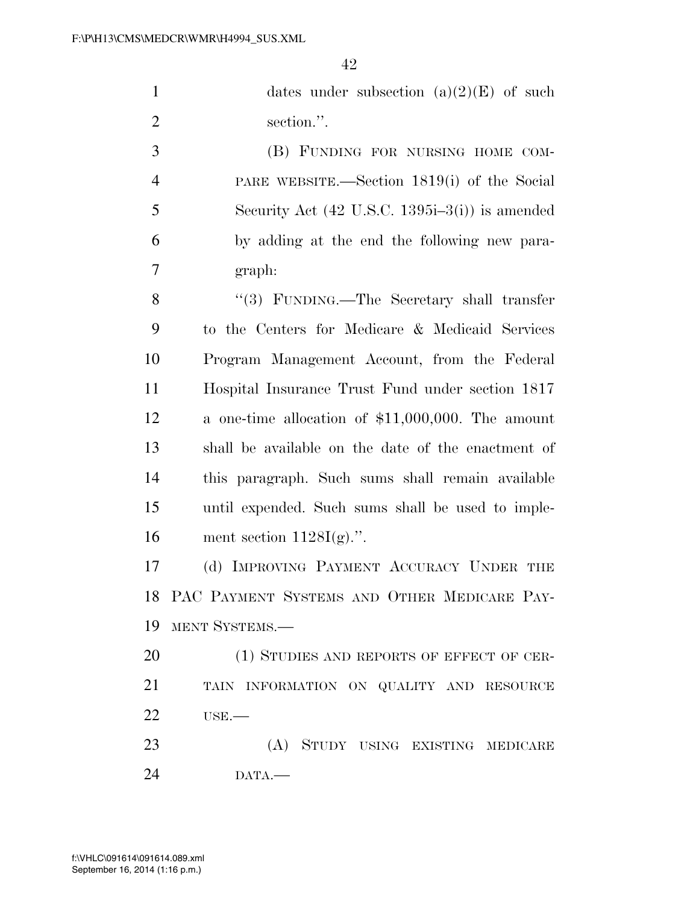|                | 3\IVIEDUN\WIVIN\FI4994_3U3.AIVIL                                          |
|----------------|---------------------------------------------------------------------------|
|                | 42                                                                        |
| $\mathbf{1}$   | dates under subsection $(a)(2)(E)$ of such                                |
| $\overline{2}$ | section.".                                                                |
| 3              | (B) FUNDING FOR NURSING HOME COM-                                         |
| $\overline{4}$ | PARE WEBSITE.—Section 1819(i) of the Social                               |
| 5              | Security Act $(42 \text{ U.S.C. } 1395\text{i} - 3\text{(i)})$ is amended |
| 6              | by adding at the end the following new para-                              |
| 7              | graph:                                                                    |
| 8              | "(3) FUNDING.—The Secretary shall transfer                                |
| 9              | to the Centers for Medicare & Medicaid Services                           |
| 10             | Program Management Account, from the Federal                              |
| 11             | Hospital Insurance Trust Fund under section 1817                          |
| 12             | a one-time allocation of $$11,000,000$ . The amount                       |
| 13             | shall be available on the date of the enactment of                        |
| 14             | this paragraph. Such sums shall remain available                          |
| 15             | until expended. Such sums shall be used to imple-                         |
| 16             | ment section $1128I(g)$ .".                                               |
| 17             | (d) IMPROVING PAYMENT ACCURACY UNDER THE                                  |
| 18             | PAC PAYMENT SYSTEMS AND OTHER MEDICARE PAY-                               |
| 19             | MENT SYSTEMS.—                                                            |
|                |                                                                           |

20 (1) STUDIES AND REPORTS OF EFFECT OF CER- TAIN INFORMATION ON QUALITY AND RESOURCE USE.—

 (A) STUDY USING EXISTING MEDICARE DATA.—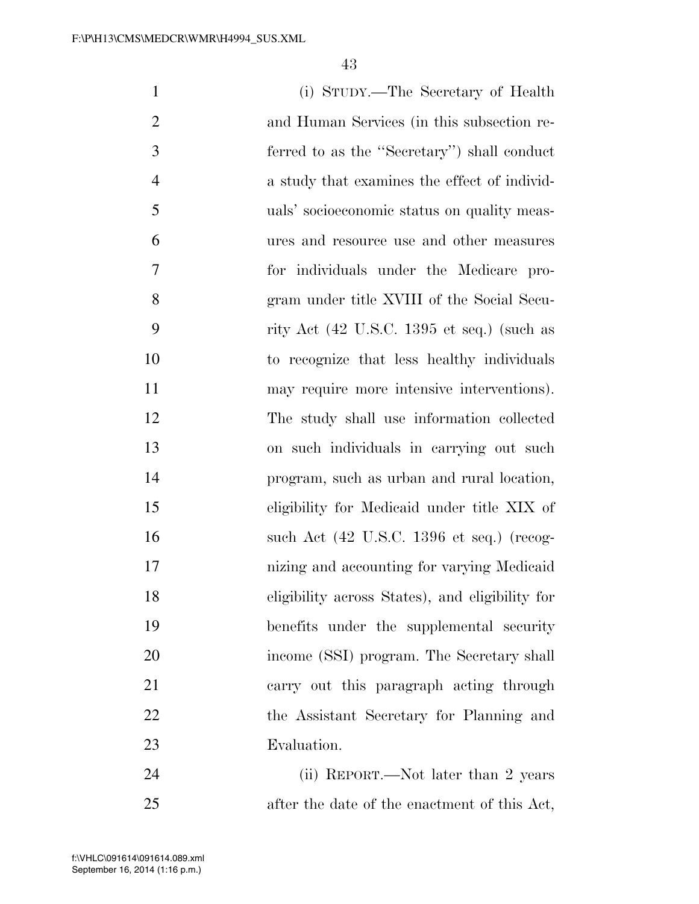| $\mathbf{1}$   | (i) STUDY.—The Secretary of Health                            |
|----------------|---------------------------------------------------------------|
| $\overline{2}$ | and Human Services (in this subsection re-                    |
| 3              | ferred to as the "Secretary") shall conduct                   |
| $\overline{4}$ | a study that examines the effect of individ-                  |
| 5              | uals' socioeconomic status on quality meas-                   |
| 6              | ures and resource use and other measures                      |
| 7              | for individuals under the Medicare pro-                       |
| 8              | gram under title XVIII of the Social Secu-                    |
| 9              | rity Act $(42 \text{ U.S.C. } 1395 \text{ et seq.})$ (such as |
| 10             | to recognize that less healthy individuals                    |
| 11             | may require more intensive interventions).                    |
| 12             | The study shall use information collected                     |
| 13             | on such individuals in carrying out such                      |
| 14             | program, such as urban and rural location,                    |
| 15             | eligibility for Medicaid under title XIX of                   |
| 16             | such Act $(42 \text{ U.S.C. } 1396 \text{ et seq.})$ (recog-  |
| 17             | nizing and accounting for varying Medicaid                    |
| 18             | eligibility across States), and eligibility for               |
| 19             | benefits under the supplemental security                      |
| 20             | income (SSI) program. The Secretary shall                     |
| 21             | carry out this paragraph acting through                       |
| 22             | the Assistant Secretary for Planning and                      |
| 23             | Evaluation.                                                   |
| 24             | (ii) REPORT.—Not later than 2 years                           |

after the date of the enactment of this Act,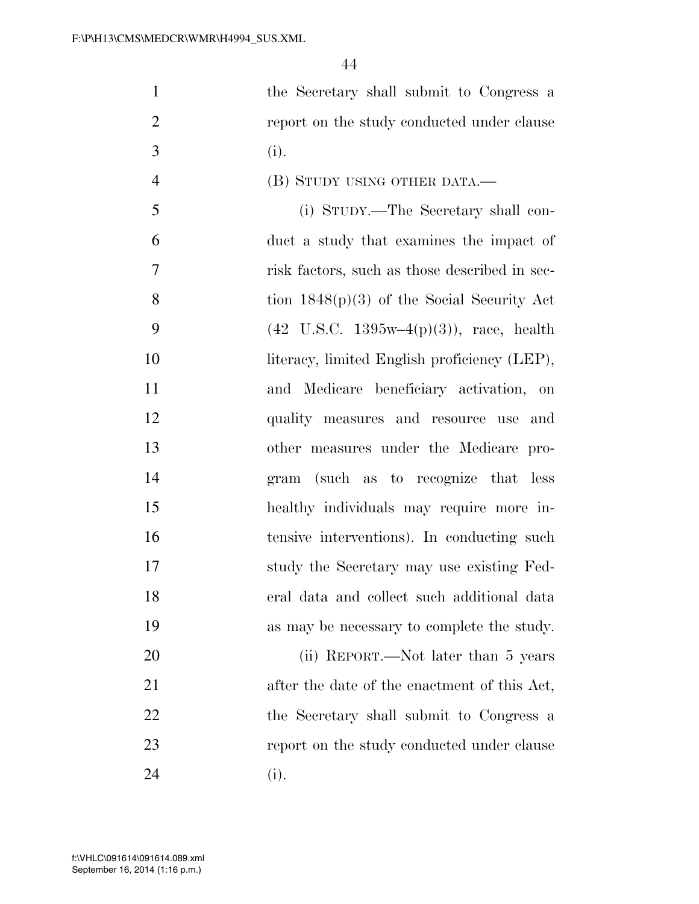the Secretary shall submit to Congress a **report on the study conducted under clause** 3 (i). (B) STUDY USING OTHER DATA.— (i) STUDY.—The Secretary shall con- duct a study that examines the impact of risk factors, such as those described in sec- tion 1848(p)(3) of the Social Security Act 9 (42 U.S.C.  $1395w-4(p)(3)$ ), race, health

10 literacy, limited English proficiency (LEP), and Medicare beneficiary activation, on quality measures and resource use and other measures under the Medicare pro- gram (such as to recognize that less healthy individuals may require more in- tensive interventions). In conducting such study the Secretary may use existing Fed- eral data and collect such additional data as may be necessary to complete the study.

20 (ii) REPORT.—Not later than 5 years 21 after the date of the enactment of this Act, 22 the Secretary shall submit to Congress a **report on the study conducted under clause** 24 (i).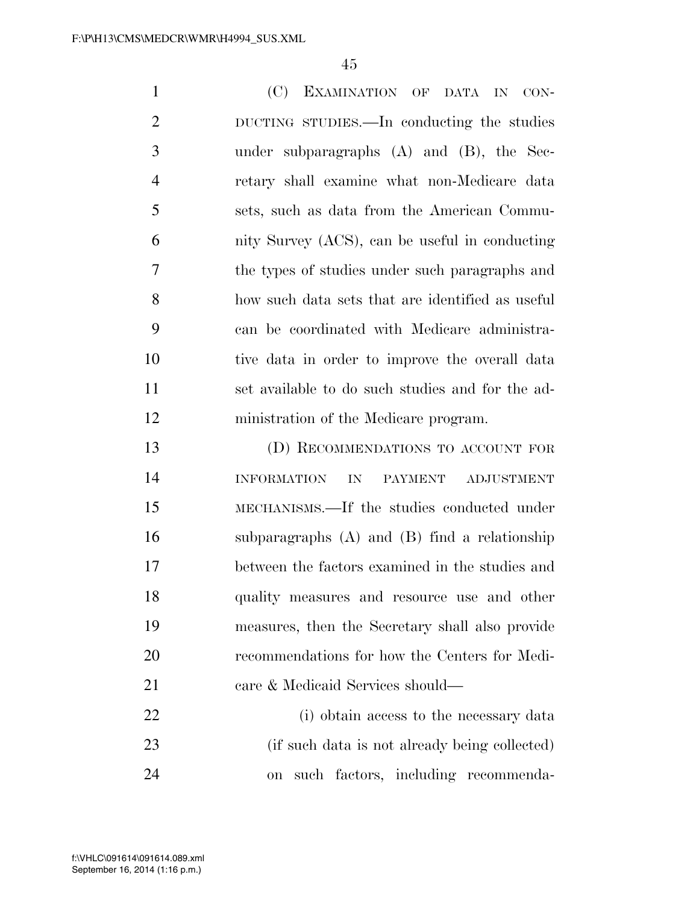(C) EXAMINATION OF DATA IN CON- DUCTING STUDIES.—In conducting the studies under subparagraphs (A) and (B), the Sec- retary shall examine what non-Medicare data sets, such as data from the American Commu- nity Survey (ACS), can be useful in conducting the types of studies under such paragraphs and how such data sets that are identified as useful can be coordinated with Medicare administra- tive data in order to improve the overall data set available to do such studies and for the ad-ministration of the Medicare program.

 (D) RECOMMENDATIONS TO ACCOUNT FOR INFORMATION IN PAYMENT ADJUSTMENT MECHANISMS.—If the studies conducted under subparagraphs (A) and (B) find a relationship between the factors examined in the studies and quality measures and resource use and other measures, then the Secretary shall also provide recommendations for how the Centers for Medi-21 care & Medicaid Services should—

 (i) obtain access to the necessary data (if such data is not already being collected) on such factors, including recommenda-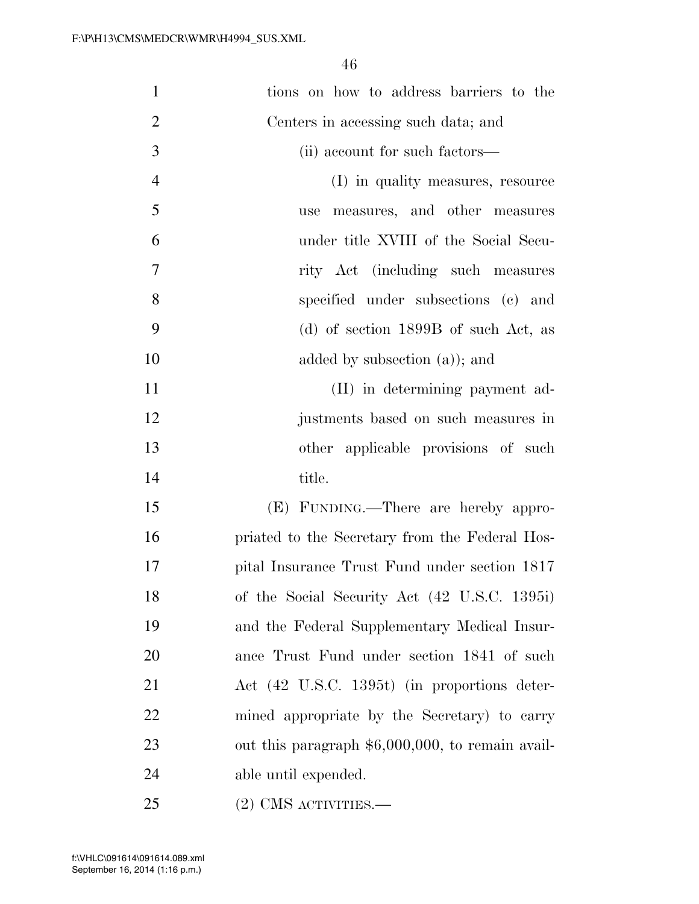| $\mathbf{1}$   | tions on how to address barriers to the            |
|----------------|----------------------------------------------------|
| $\overline{2}$ | Centers in accessing such data; and                |
| 3              | (ii) account for such factors—                     |
| $\overline{4}$ | (I) in quality measures, resource                  |
| 5              | measures, and other measures<br>use                |
| 6              | under title XVIII of the Social Secu-              |
| 7              | rity Act (including such measures                  |
| 8              | specified under subsections (c) and                |
| 9              | (d) of section $1899B$ of such Act, as             |
| 10             | added by subsection $(a)$ ; and                    |
| 11             | (II) in determining payment ad-                    |
| 12             | justments based on such measures in                |
| 13             | other applicable provisions of such                |
| 14             | title.                                             |
| 15             | (E) FUNDING.—There are hereby appro-               |
| 16             | priated to the Secretary from the Federal Hos-     |
| 17             | pital Insurance Trust Fund under section 1817      |
| 18             | of the Social Security Act (42 U.S.C. 1395i)       |
| 19             | and the Federal Supplementary Medical Insur-       |
| 20             | ance Trust Fund under section 1841 of such         |
| 21             | Act (42 U.S.C. 1395t) (in proportions deter-       |
| 22             | mined appropriate by the Secretary) to carry       |
| 23             | out this paragraph $$6,000,000$ , to remain avail- |
| 24             | able until expended.                               |
| 25             | $(2)$ CMS activities.—                             |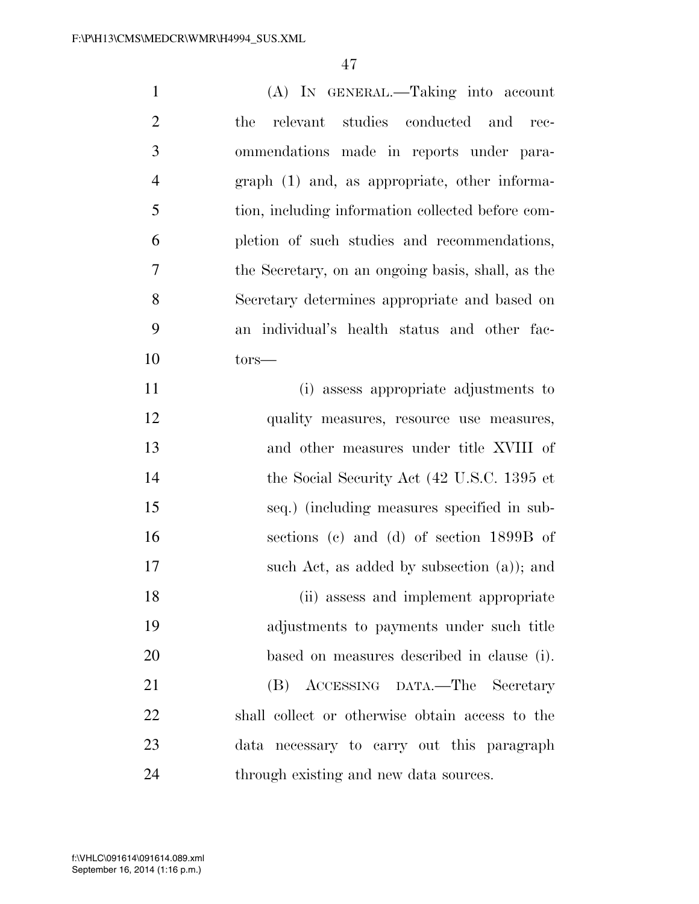| $\mathbf{1}$   | (A) IN GENERAL.—Taking into account               |
|----------------|---------------------------------------------------|
| $\overline{2}$ | studies conducted and<br>relevant<br>the<br>rec-  |
| 3              | ommendations made in reports under para-          |
| $\overline{4}$ | graph (1) and, as appropriate, other informa-     |
| 5              | tion, including information collected before com- |
| 6              | pletion of such studies and recommendations,      |
| $\overline{7}$ | the Secretary, on an ongoing basis, shall, as the |
| 8              | Secretary determines appropriate and based on     |
| 9              | an individual's health status and other fac-      |
| 10             | $tors-$                                           |
| 11             | (i) assess appropriate adjustments to             |
| 12             | quality measures, resource use measures,          |
| 13             | and other measures under title XVIII of           |
| 14             | the Social Security Act (42 U.S.C. 1395 et        |
| 15             | seq.) (including measures specified in sub-       |
| 16             | sections (c) and (d) of section 1899B of          |
| 17             | such Act, as added by subsection $(a)$ ; and      |
| 18             | (ii) assess and implement appropriate             |
| 19             | adjustments to payments under such title          |
| 20             | based on measures described in clause (i).        |
| 21             | (B)<br>ACCESSING DATA.—The Secretary              |
| 22             | shall collect or otherwise obtain access to the   |
| 23             | data necessary to carry out this paragraph        |
| 24             | through existing and new data sources.            |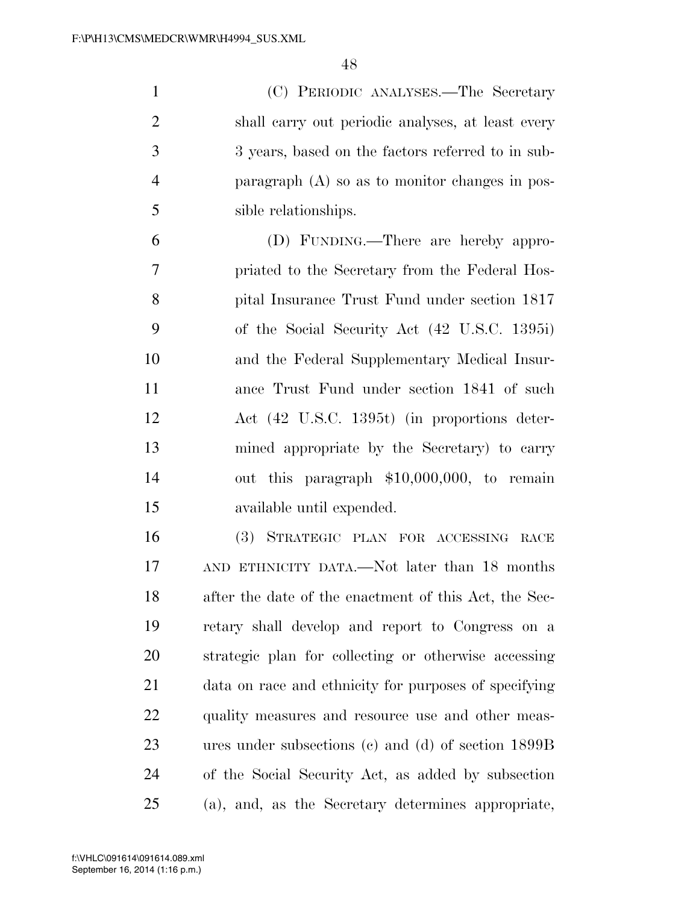(C) PERIODIC ANALYSES.—The Secretary shall carry out periodic analyses, at least every 3 years, based on the factors referred to in sub- paragraph (A) so as to monitor changes in pos-sible relationships.

 (D) FUNDING.—There are hereby appro- priated to the Secretary from the Federal Hos- pital Insurance Trust Fund under section 1817 of the Social Security Act (42 U.S.C. 1395i) and the Federal Supplementary Medical Insur- ance Trust Fund under section 1841 of such Act (42 U.S.C. 1395t) (in proportions deter- mined appropriate by the Secretary) to carry out this paragraph \$10,000,000, to remain available until expended.

 (3) STRATEGIC PLAN FOR ACCESSING RACE AND ETHNICITY DATA.—Not later than 18 months after the date of the enactment of this Act, the Sec- retary shall develop and report to Congress on a strategic plan for collecting or otherwise accessing data on race and ethnicity for purposes of specifying 22 quality measures and resource use and other meas- ures under subsections (c) and (d) of section 1899B of the Social Security Act, as added by subsection (a), and, as the Secretary determines appropriate,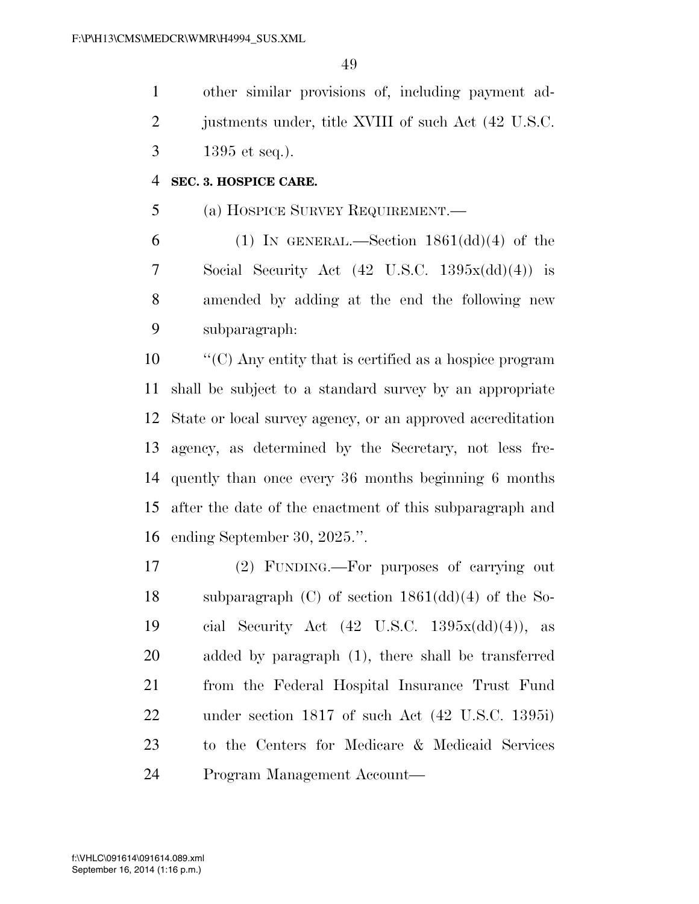other similar provisions of, including payment ad-2 justments under, title XVIII of such Act (42 U.S.C. 1395 et seq.).

#### **SEC. 3. HOSPICE CARE.**

(a) HOSPICE SURVEY REQUIREMENT.—

6 (1) IN GENERAL.—Section  $1861(\text{dd})(4)$  of the Social Security Act (42 U.S.C. 1395x(dd)(4)) is amended by adding at the end the following new subparagraph:

 ''(C) Any entity that is certified as a hospice program shall be subject to a standard survey by an appropriate State or local survey agency, or an approved accreditation agency, as determined by the Secretary, not less fre- quently than once every 36 months beginning 6 months after the date of the enactment of this subparagraph and ending September 30, 2025.''.

 (2) FUNDING.—For purposes of carrying out subparagraph (C) of section 1861(dd)(4) of the So- cial Security Act (42 U.S.C. 1395x(dd)(4)), as added by paragraph (1), there shall be transferred from the Federal Hospital Insurance Trust Fund under section 1817 of such Act (42 U.S.C. 1395i) to the Centers for Medicare & Medicaid Services Program Management Account—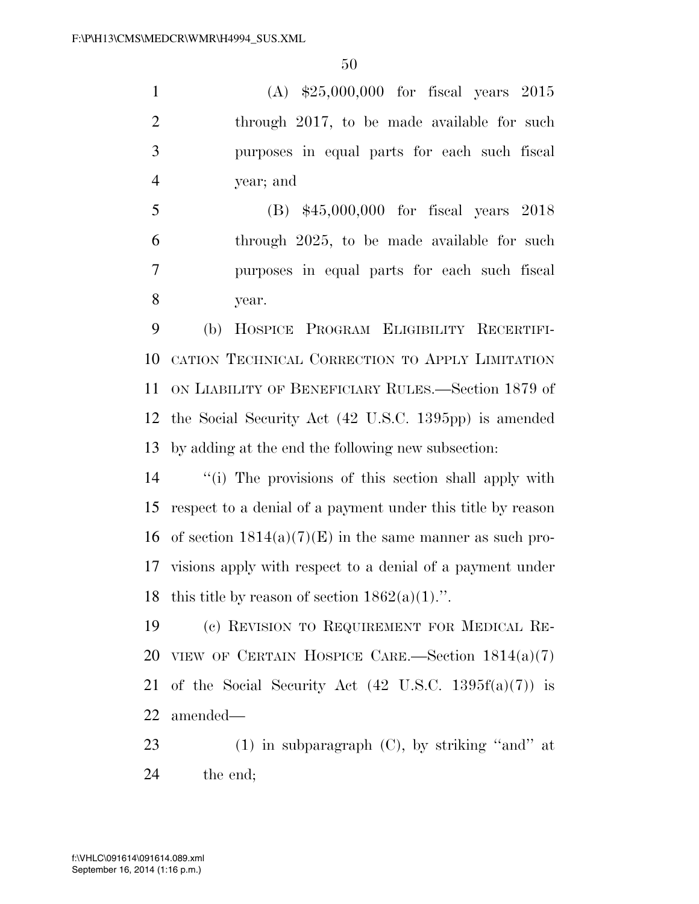(A) \$25,000,000 for fiscal years 2015 2 through 2017, to be made available for such purposes in equal parts for each such fiscal year; and

 (B) \$45,000,000 for fiscal years 2018 through 2025, to be made available for such purposes in equal parts for each such fiscal year.

 (b) HOSPICE PROGRAM ELIGIBILITY RECERTIFI- CATION TECHNICAL CORRECTION TO APPLY LIMITATION ON LIABILITY OF BENEFICIARY RULES.—Section 1879 of the Social Security Act (42 U.S.C. 1395pp) is amended by adding at the end the following new subsection:

 ''(i) The provisions of this section shall apply with respect to a denial of a payment under this title by reason 16 of section  $1814(a)(7)(E)$  in the same manner as such pro- visions apply with respect to a denial of a payment under 18 this title by reason of section  $1862(a)(1)$ .".

 (c) REVISION TO REQUIREMENT FOR MEDICAL RE-20 VIEW OF CERTAIN HOSPICE CARE.—Section  $1814(a)(7)$ 21 of the Social Security Act  $(42 \text{ U.S.C. } 1395f(a)(7))$  is amended—

 (1) in subparagraph (C), by striking ''and'' at the end;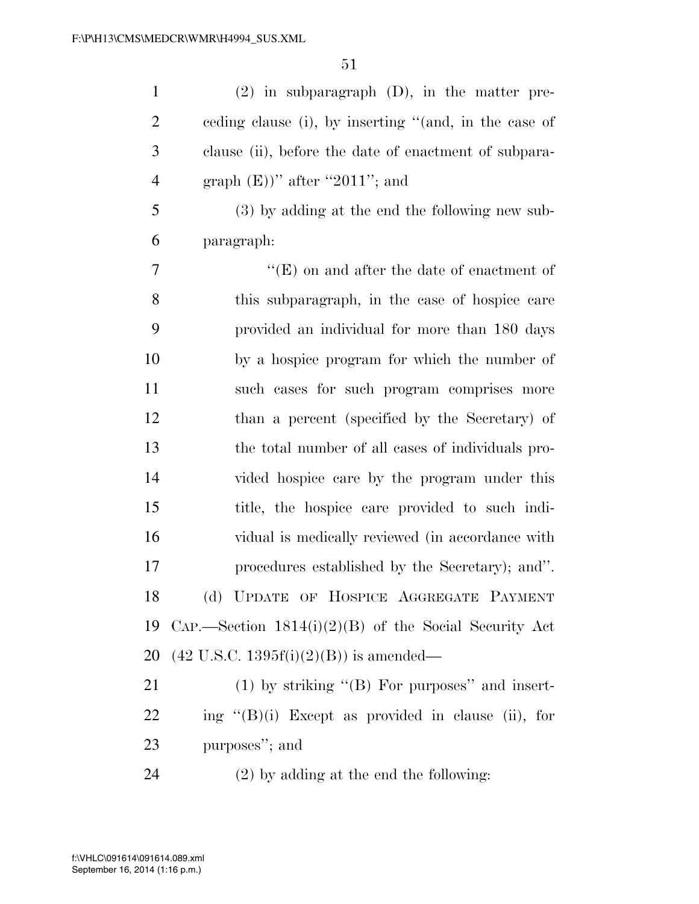(2) in subparagraph (D), in the matter pre- ceding clause (i), by inserting ''(and, in the case of clause (ii), before the date of enactment of subpara-4 graph  $(E)$ )" after "2011"; and (3) by adding at the end the following new sub- paragraph: ''(E) on and after the date of enactment of this subparagraph, in the case of hospice care provided an individual for more than 180 days

 by a hospice program for which the number of such cases for such program comprises more than a percent (specified by the Secretary) of the total number of all cases of individuals pro- vided hospice care by the program under this title, the hospice care provided to such indi- vidual is medically reviewed (in accordance with procedures established by the Secretary); and''. (d) UPDATE OF HOSPICE AGGREGATE PAYMENT CAP.—Section 1814(i)(2)(B) of the Social Security Act (42 U.S.C. 1395f(i)(2)(B)) is amended—

21 (1) by striking "(B) For purposes" and insert- ing  $(8)(i)$  Except as provided in clause (ii), for purposes''; and

(2) by adding at the end the following: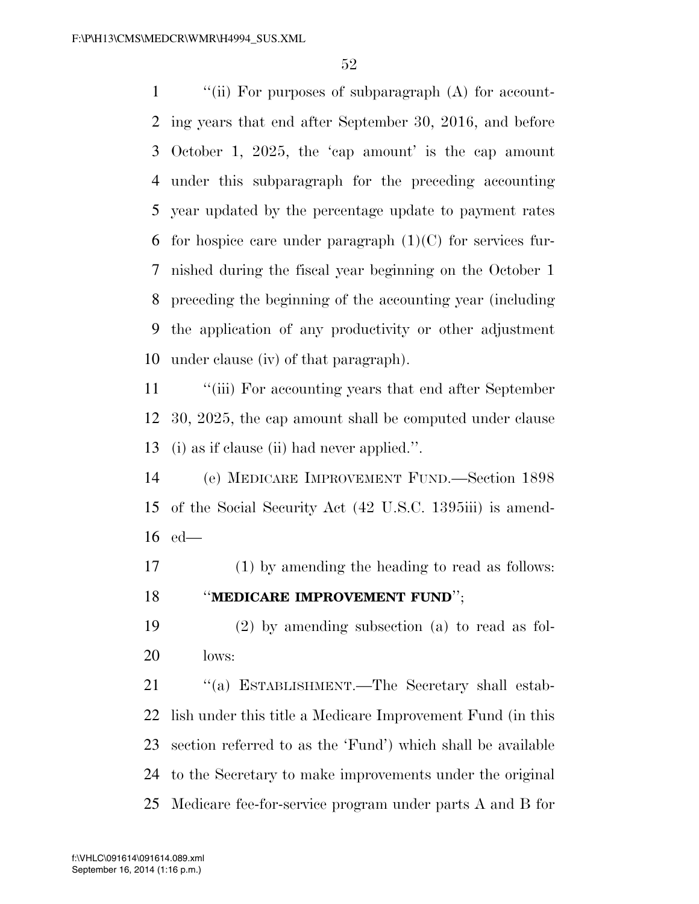''(ii) For purposes of subparagraph (A) for account- ing years that end after September 30, 2016, and before October 1, 2025, the 'cap amount' is the cap amount under this subparagraph for the preceding accounting year updated by the percentage update to payment rates 6 for hospice care under paragraph  $(1)(C)$  for services fur- nished during the fiscal year beginning on the October 1 preceding the beginning of the accounting year (including the application of any productivity or other adjustment under clause (iv) of that paragraph).

 ''(iii) For accounting years that end after September 30, 2025, the cap amount shall be computed under clause (i) as if clause (ii) had never applied.''.

 (e) MEDICARE IMPROVEMENT FUND.—Section 1898 of the Social Security Act (42 U.S.C. 1395iii) is amend-ed—

 (1) by amending the heading to read as follows: ''**MEDICARE IMPROVEMENT FUND**'';

 (2) by amending subsection (a) to read as fol-lows:

21 "(a) ESTABLISHMENT.—The Secretary shall estab- lish under this title a Medicare Improvement Fund (in this section referred to as the 'Fund') which shall be available to the Secretary to make improvements under the original Medicare fee-for-service program under parts A and B for